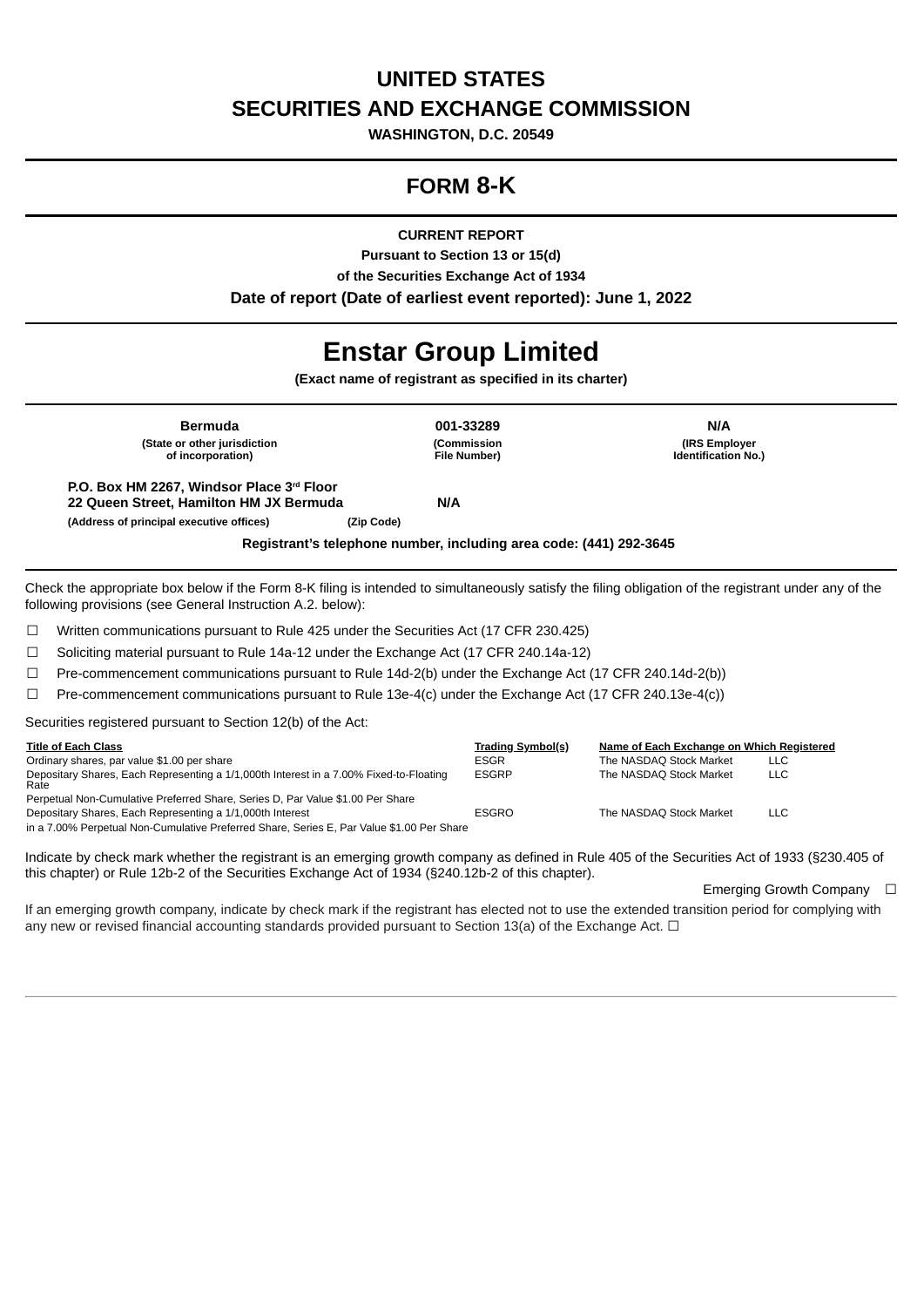# **UNITED STATES SECURITIES AND EXCHANGE COMMISSION**

**WASHINGTON, D.C. 20549**

# **FORM 8-K**

**CURRENT REPORT**

**Pursuant to Section 13 or 15(d) of the Securities Exchange Act of 1934 Date of report (Date of earliest event reported): June 1, 2022**

# **Enstar Group Limited**

**(Exact name of registrant as specified in its charter)**

| <b>Bermuda</b>                                                                                                                   | 001-33289                | <b>N/A</b>                 |
|----------------------------------------------------------------------------------------------------------------------------------|--------------------------|----------------------------|
| (State or other jurisdiction                                                                                                     | (Commission              | (IRS Employer)             |
| of incorporation)                                                                                                                | <b>File Number)</b>      | <b>Identification No.)</b> |
| P.O. Box HM 2267, Windsor Place 3rd Floor<br>22 Oueen Street, Hamilton HM JX Bermuda<br>(Address of principal executive offices) | <b>N/A</b><br>(Zip Code) |                            |

**Registrant's telephone number, including area code: (441) 292-3645**

Check the appropriate box below if the Form 8-K filing is intended to simultaneously satisfy the filing obligation of the registrant under any of the following provisions (see General Instruction A.2. below):

☐ Written communications pursuant to Rule 425 under the Securities Act (17 CFR 230.425)

☐ Soliciting material pursuant to Rule 14a-12 under the Exchange Act (17 CFR 240.14a-12)

 $\Box$  Pre-commencement communications pursuant to Rule 14d-2(b) under the Exchange Act (17 CFR 240.14d-2(b))

☐ Pre-commencement communications pursuant to Rule 13e-4(c) under the Exchange Act (17 CFR 240.13e-4(c))

Securities registered pursuant to Section 12(b) of the Act:

| <b>Title of Each Class</b>                                                                     | Trading Symbol(s) | Name of Each Exchange on Which Registered |      |
|------------------------------------------------------------------------------------------------|-------------------|-------------------------------------------|------|
| Ordinary shares, par value \$1.00 per share                                                    | ESGR              | The NASDAQ Stock Market                   | LLC. |
| Depositary Shares, Each Representing a 1/1,000th Interest in a 7.00% Fixed-to-Floating<br>Rate | <b>ESGRP</b>      | The NASDAO Stock Market                   | LLC. |
| Perpetual Non-Cumulative Preferred Share, Series D, Par Value \$1.00 Per Share                 |                   |                                           |      |
| Depositary Shares, Each Representing a 1/1,000th Interest                                      | <b>ESGRO</b>      | The NASDAO Stock Market                   | LLC. |
| in a 7.00% Perpetual Non-Cumulative Preferred Share, Series E, Par Value \$1.00 Per Share      |                   |                                           |      |

Indicate by check mark whether the registrant is an emerging growth company as defined in Rule 405 of the Securities Act of 1933 (§230.405 of this chapter) or Rule 12b-2 of the Securities Exchange Act of 1934 (§240.12b-2 of this chapter).

Emerging Growth Company □

If an emerging growth company, indicate by check mark if the registrant has elected not to use the extended transition period for complying with any new or revised financial accounting standards provided pursuant to Section 13(a) of the Exchange Act.  $\Box$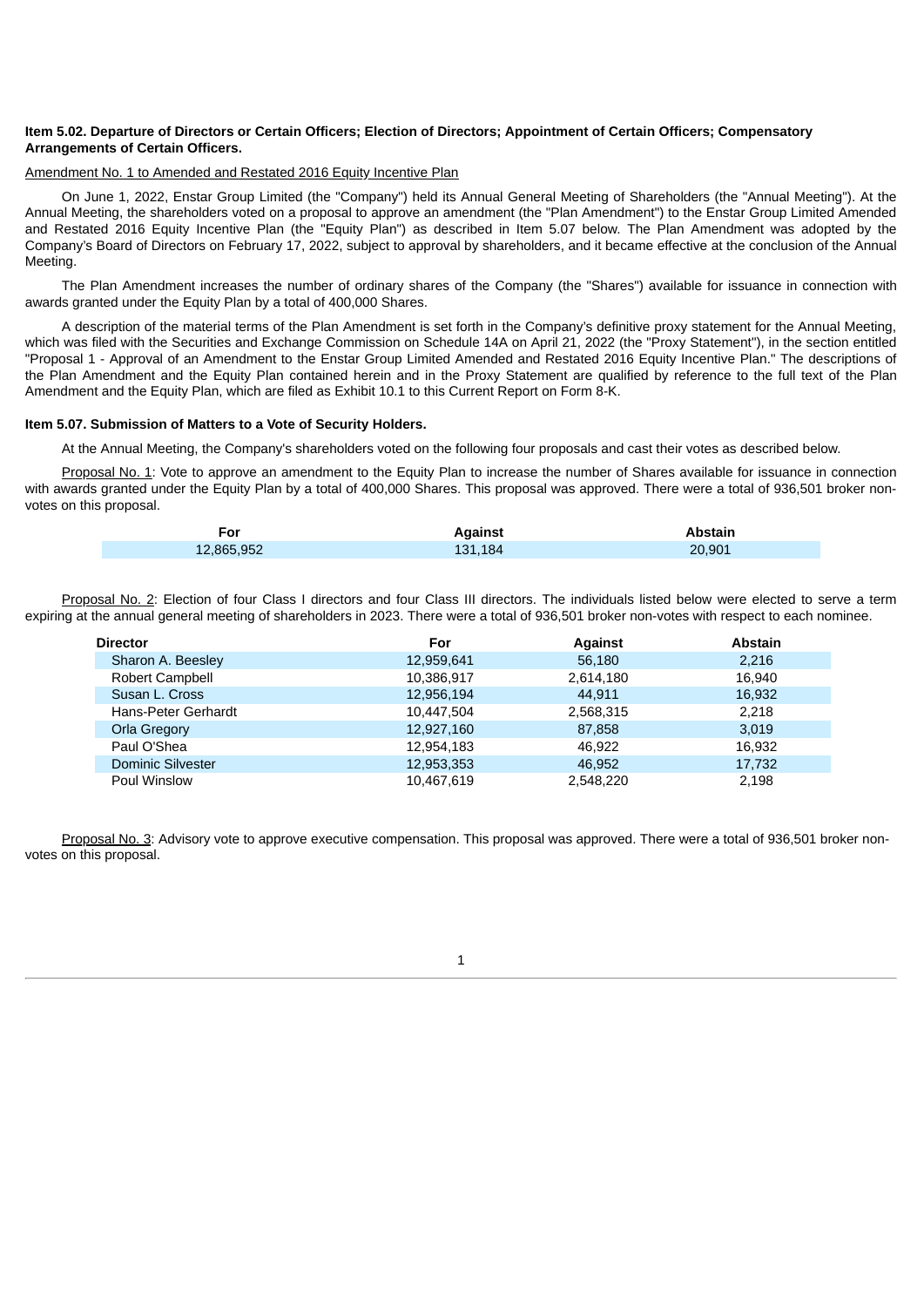## Item 5.02. Departure of Directors or Certain Officers; Election of Directors; Appointment of Certain Officers; Compensatory **Arrangements of Certain Officers.**

#### Amendment No. 1 to Amended and Restated 2016 Equity Incentive Plan

On June 1, 2022, Enstar Group Limited (the "Company") held its Annual General Meeting of Shareholders (the "Annual Meeting"). At the Annual Meeting, the shareholders voted on a proposal to approve an amendment (the "Plan Amendment") to the Enstar Group Limited Amended and Restated 2016 Equity Incentive Plan (the "Equity Plan") as described in Item 5.07 below. The Plan Amendment was adopted by the Company's Board of Directors on February 17, 2022, subject to approval by shareholders, and it became effective at the conclusion of the Annual Meeting.

The Plan Amendment increases the number of ordinary shares of the Company (the "Shares") available for issuance in connection with awards granted under the Equity Plan by a total of 400,000 Shares.

A description of the material terms of the Plan Amendment is set forth in the Company's definitive proxy statement for the Annual Meeting, which was filed with the Securities and Exchange Commission on Schedule 14A on April 21, 2022 (the "Proxy Statement"), in the section entitled "Proposal 1 - Approval of an Amendment to the Enstar Group Limited Amended and Restated 2016 Equity Incentive Plan." The descriptions of the Plan Amendment and the Equity Plan contained herein and in the Proxy Statement are qualified by reference to the full text of the Plan Amendment and the Equity Plan, which are filed as Exhibit 10.1 to this Current Report on Form 8-K.

#### **Item 5.07. Submission of Matters to a Vote of Security Holders.**

At the Annual Meeting, the Company's shareholders voted on the following four proposals and cast their votes as described below.

Proposal No. 1: Vote to approve an amendment to the Equity Plan to increase the number of Shares available for issuance in connection with awards granted under the Equity Plan by a total of 400,000 Shares. This proposal was approved. There were a total of 936,501 broker nonvotes on this proposal.

| -or        | Against | Abstain |
|------------|---------|---------|
| 12,865,952 | 131.184 | 20.901  |

Proposal No. 2: Election of four Class I directors and four Class III directors. The individuals listed below were elected to serve a term expiring at the annual general meeting of shareholders in 2023. There were a total of 936,501 broker non-votes with respect to each nominee.

| Director                 | For        | <b>Against</b> | <b>Abstain</b> |
|--------------------------|------------|----------------|----------------|
| Sharon A. Beesley        | 12,959,641 | 56,180         | 2,216          |
| Robert Campbell          | 10,386,917 | 2,614,180      | 16.940         |
| Susan L. Cross           | 12,956,194 | 44.911         | 16,932         |
| Hans-Peter Gerhardt      | 10,447,504 | 2,568,315      | 2,218          |
| Orla Gregory             | 12,927,160 | 87,858         | 3,019          |
| Paul O'Shea              | 12,954,183 | 46.922         | 16,932         |
| <b>Dominic Silvester</b> | 12,953,353 | 46.952         | 17,732         |
| Poul Winslow             | 10,467,619 | 2,548,220      | 2,198          |

Proposal No. 3: Advisory vote to approve executive compensation. This proposal was approved. There were a total of 936,501 broker nonvotes on this proposal.

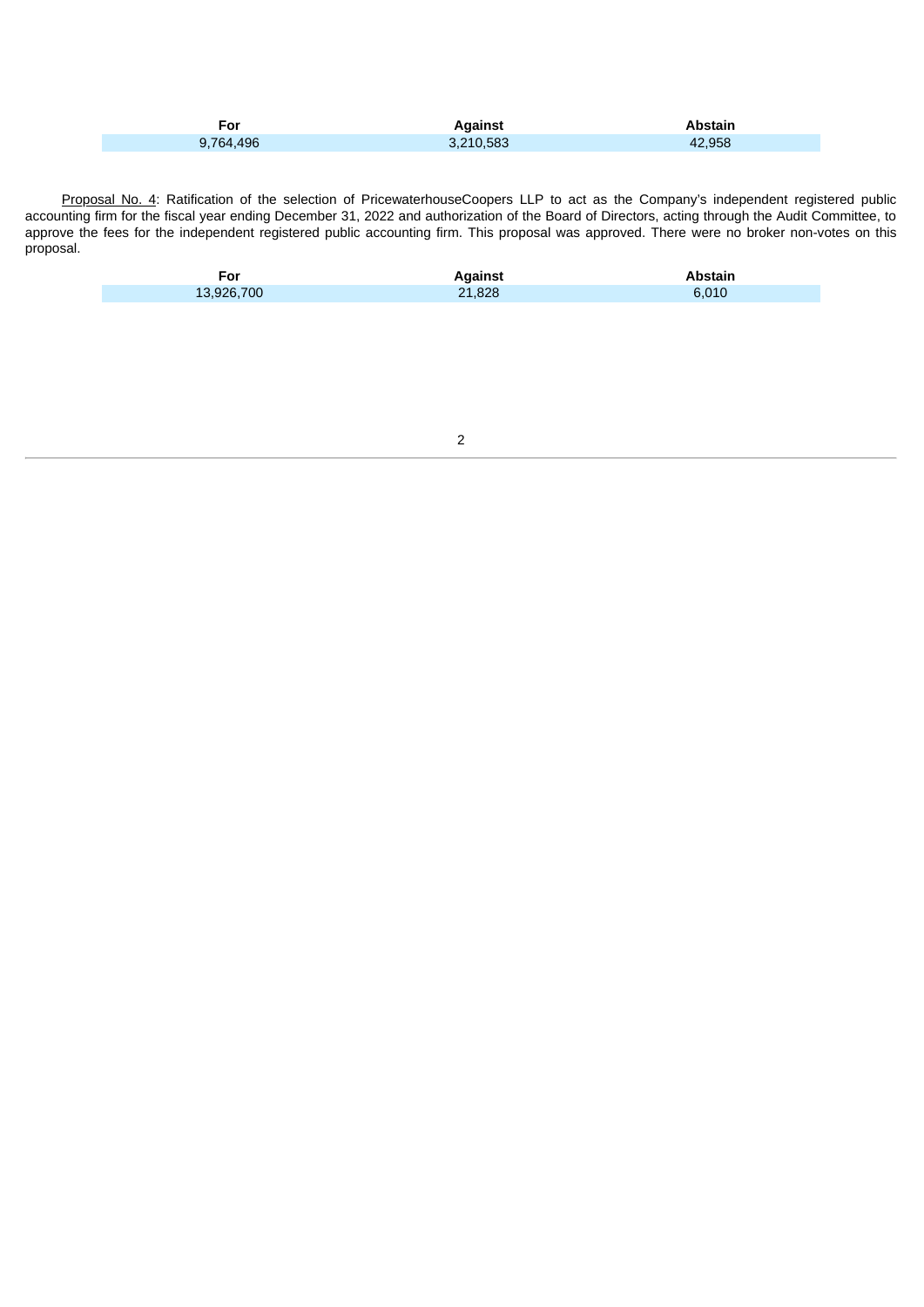| For       | <b>Against</b> | Abstain |
|-----------|----------------|---------|
| 9,764,496 | 3,210,583      | 42.958  |

Proposal No. 4: Ratification of the selection of PricewaterhouseCoopers LLP to act as the Company's independent registered public accounting firm for the fiscal year ending December 31, 2022 and authorization of the Board of Directors, acting through the Audit Committee, to approve the fees for the independent registered public accounting firm. This proposal was approved. There were no broker non-votes on this proposal.

| For        | Against | Abstain |
|------------|---------|---------|
| 13,926,700 | 21,828  | 6,010   |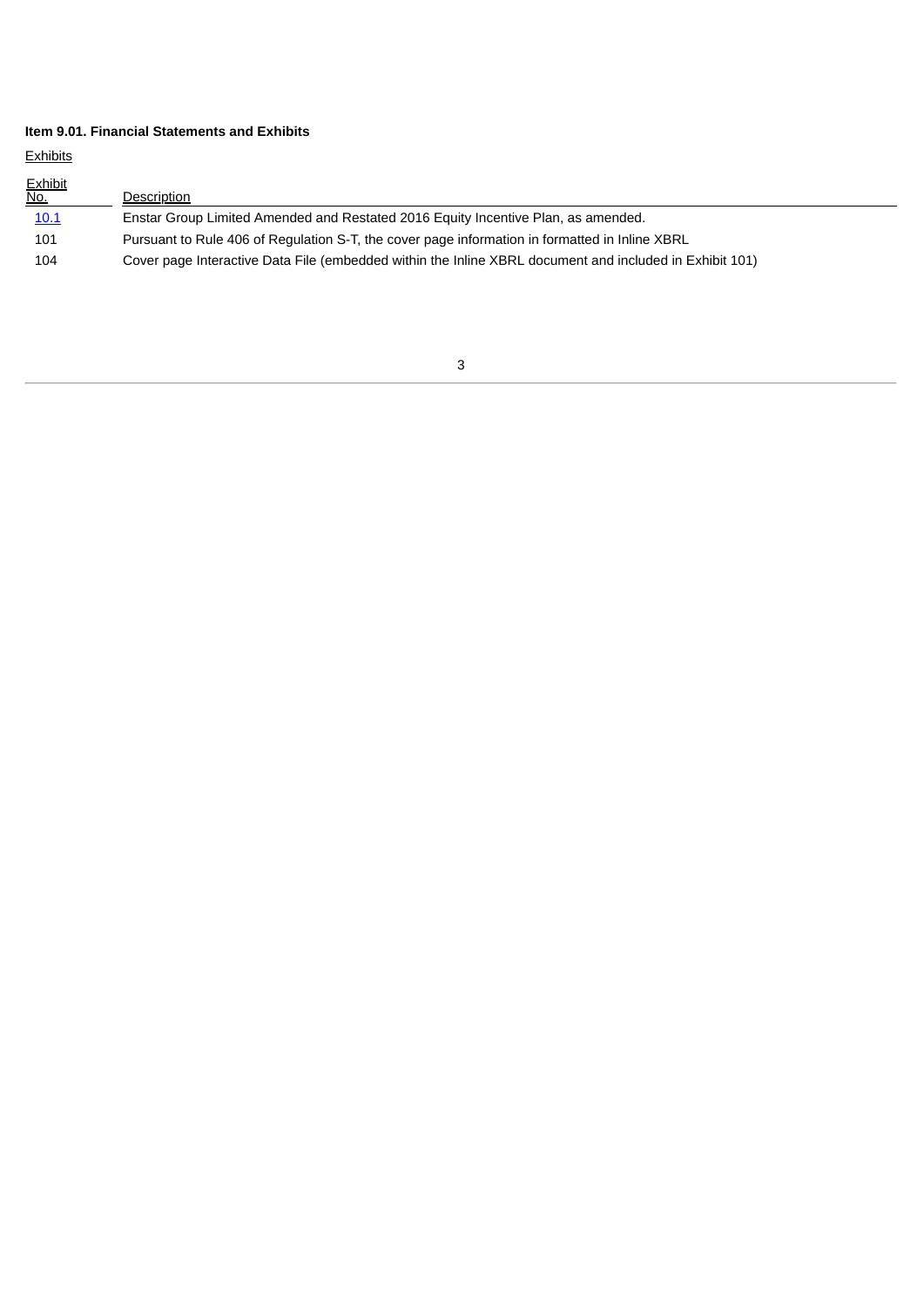## **Item 9.01. Financial Statements and Exhibits**

**Exhibits** 

| <b>Exhibit</b><br><u>No.</u> | Description                                                                                             |
|------------------------------|---------------------------------------------------------------------------------------------------------|
| 10.1                         | Enstar Group Limited Amended and Restated 2016 Equity Incentive Plan, as amended.                       |
| 101                          | Pursuant to Rule 406 of Regulation S-T, the cover page information in formatted in Inline XBRL          |
| 104                          | Cover page Interactive Data File (embedded within the Inline XBRL document and included in Exhibit 101) |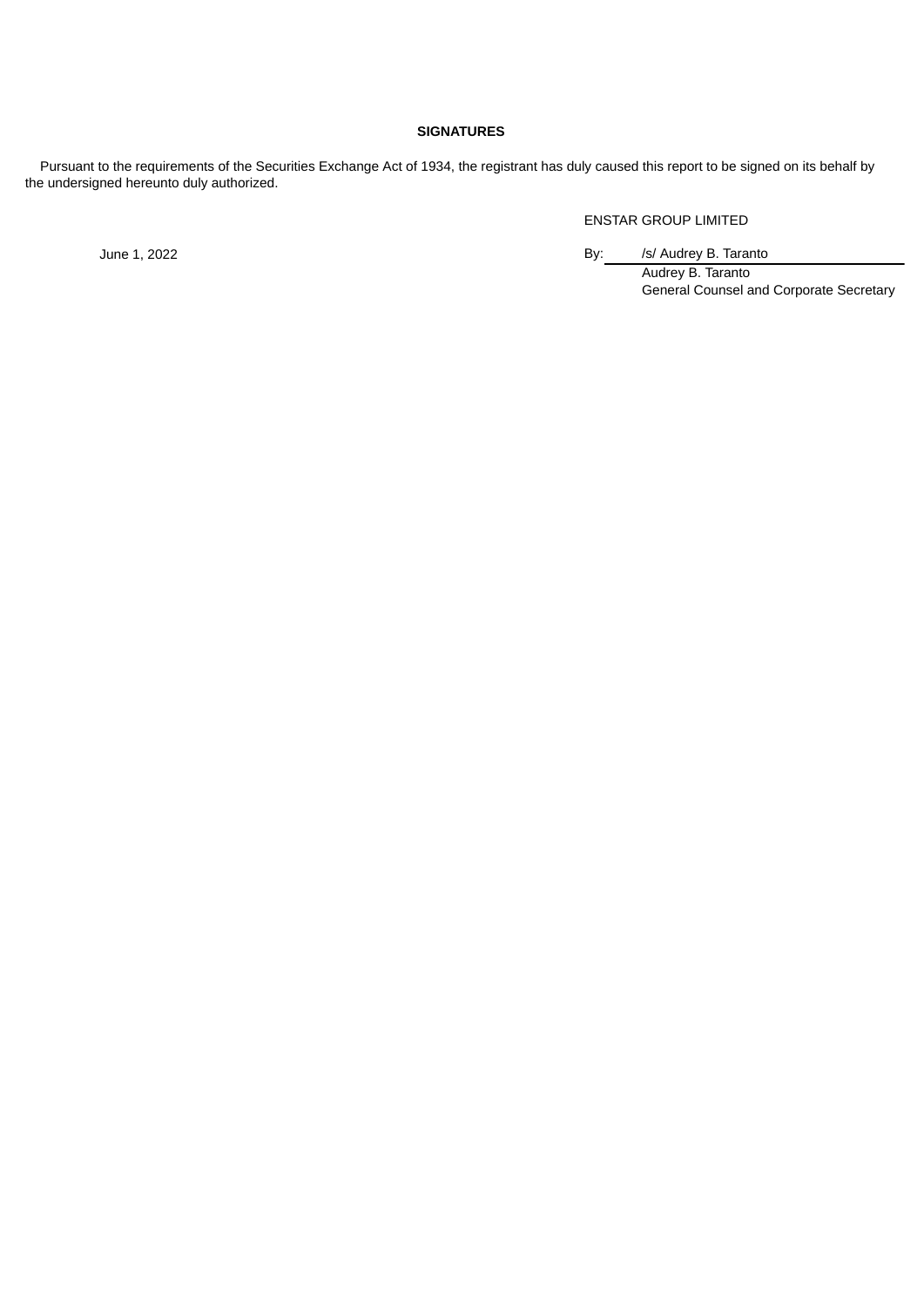## **SIGNATURES**

Pursuant to the requirements of the Securities Exchange Act of 1934, the registrant has duly caused this report to be signed on its behalf by the undersigned hereunto duly authorized.

ENSTAR GROUP LIMITED

June 1, 2022 **By:** /s/ Audrey B. Taranto

Audrey B. Taranto General Counsel and Corporate Secretary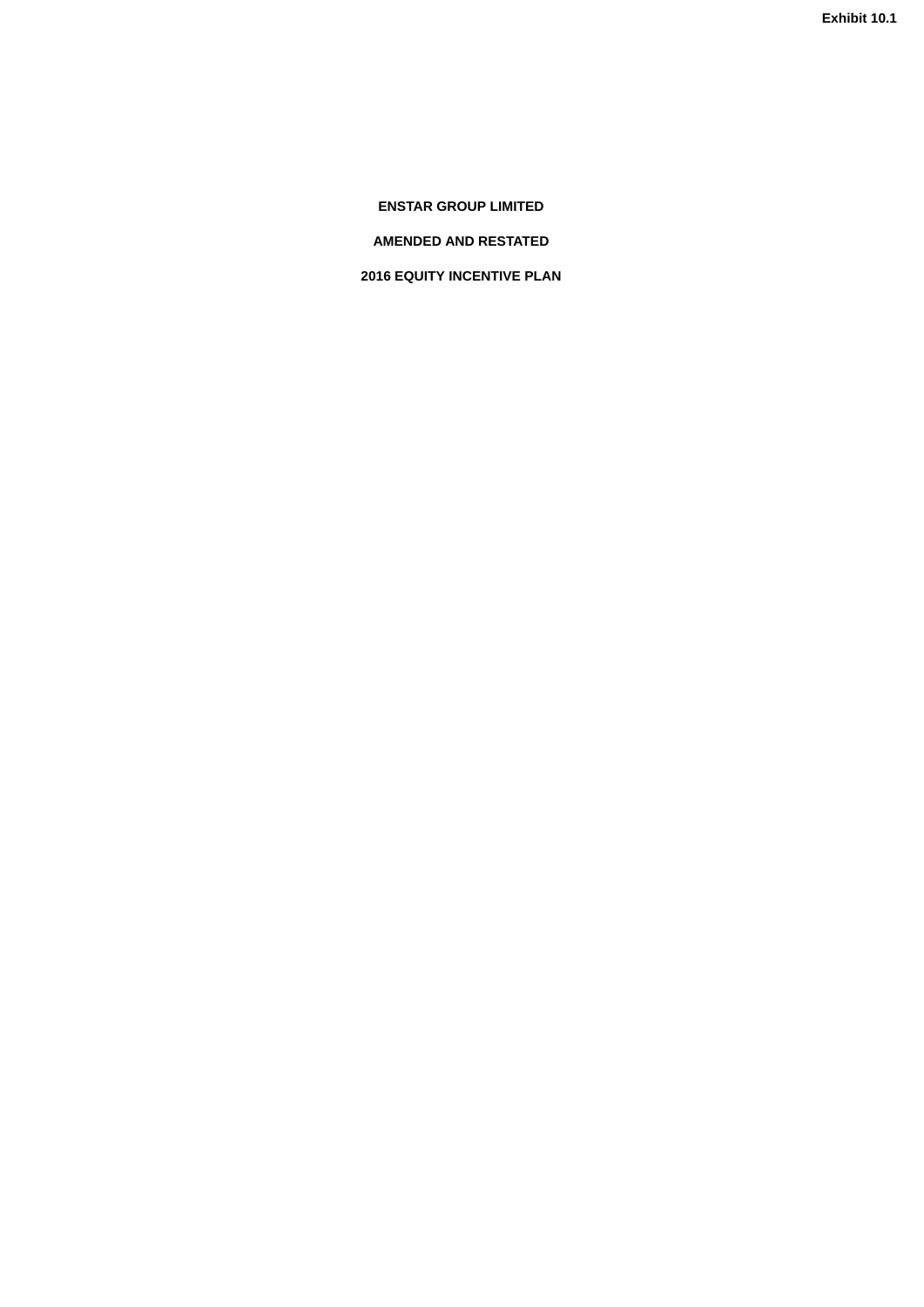<span id="page-5-0"></span>**ENSTAR GROUP LIMITED**

**AMENDED AND RESTATED**

**2016 EQUITY INCENTIVE PLAN**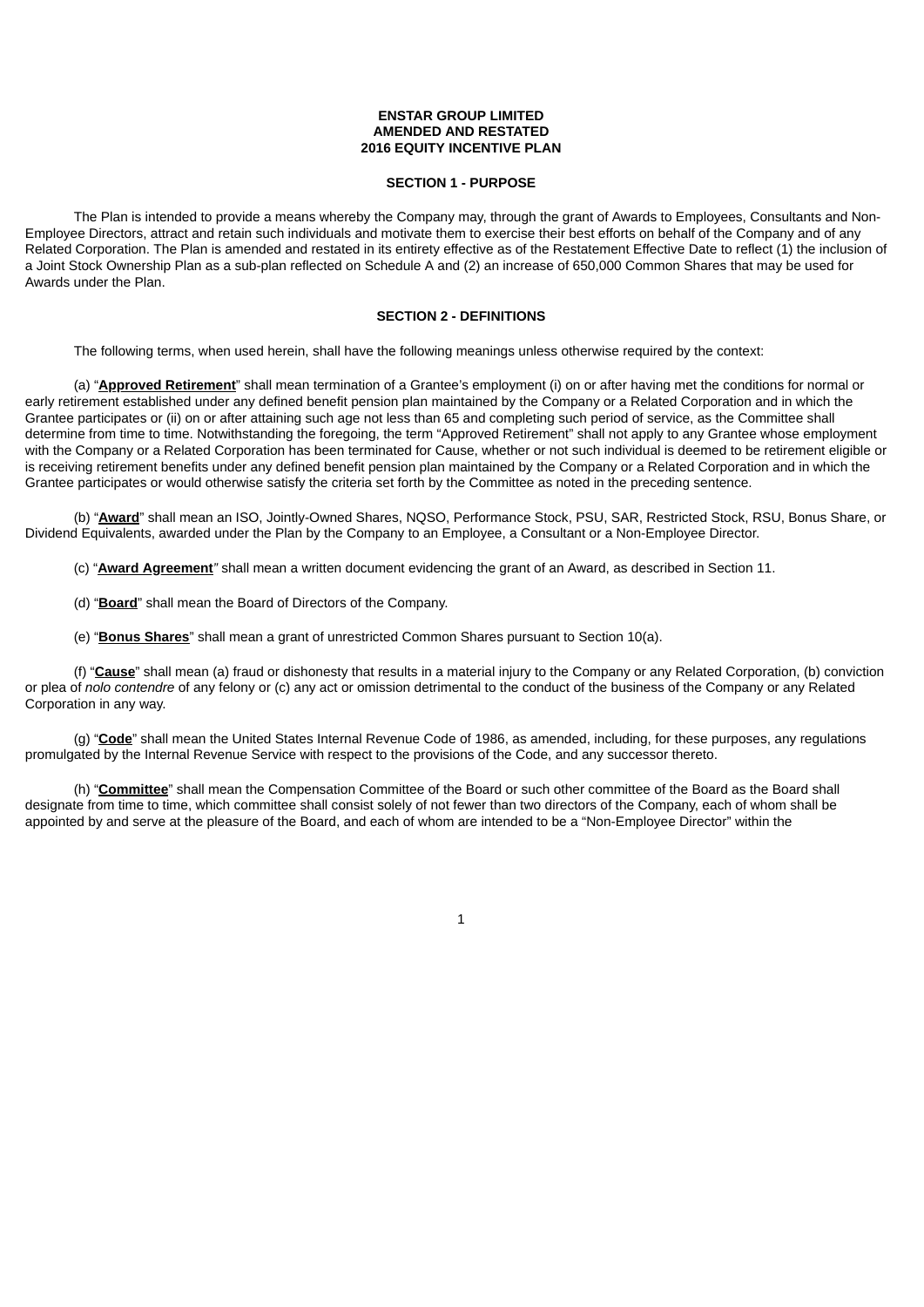## **ENSTAR GROUP LIMITED AMENDED AND RESTATED 2016 EQUITY INCENTIVE PLAN**

#### **SECTION 1 - PURPOSE**

The Plan is intended to provide a means whereby the Company may, through the grant of Awards to Employees, Consultants and Non-Employee Directors, attract and retain such individuals and motivate them to exercise their best efforts on behalf of the Company and of any Related Corporation. The Plan is amended and restated in its entirety effective as of the Restatement Effective Date to reflect (1) the inclusion of a Joint Stock Ownership Plan as a sub-plan reflected on Schedule A and (2) an increase of 650,000 Common Shares that may be used for Awards under the Plan.

## **SECTION 2 - DEFINITIONS**

The following terms, when used herein, shall have the following meanings unless otherwise required by the context:

(a) "**Approved Retirement**" shall mean termination of a Grantee's employment (i) on or after having met the conditions for normal or early retirement established under any defined benefit pension plan maintained by the Company or a Related Corporation and in which the Grantee participates or (ii) on or after attaining such age not less than 65 and completing such period of service, as the Committee shall determine from time to time. Notwithstanding the foregoing, the term "Approved Retirement" shall not apply to any Grantee whose employment with the Company or a Related Corporation has been terminated for Cause, whether or not such individual is deemed to be retirement eligible or is receiving retirement benefits under any defined benefit pension plan maintained by the Company or a Related Corporation and in which the Grantee participates or would otherwise satisfy the criteria set forth by the Committee as noted in the preceding sentence.

(b) "**Award**" shall mean an ISO, Jointly-Owned Shares, NQSO, Performance Stock, PSU, SAR, Restricted Stock, RSU, Bonus Share, or Dividend Equivalents, awarded under the Plan by the Company to an Employee, a Consultant or a Non-Employee Director.

(c) "**Award Agreement***"* shall mean a written document evidencing the grant of an Award, as described in Section 11.

- (d) "**Board**" shall mean the Board of Directors of the Company.
- (e) "**Bonus Shares**" shall mean a grant of unrestricted Common Shares pursuant to Section 10(a).

(f) "**Cause**" shall mean (a) fraud or dishonesty that results in a material injury to the Company or any Related Corporation, (b) conviction or plea of *nolo contendre* of any felony or (c) any act or omission detrimental to the conduct of the business of the Company or any Related Corporation in any way.

(g) "**Code**" shall mean the United States Internal Revenue Code of 1986, as amended, including, for these purposes, any regulations promulgated by the Internal Revenue Service with respect to the provisions of the Code, and any successor thereto.

(h) "**Committee**" shall mean the Compensation Committee of the Board or such other committee of the Board as the Board shall designate from time to time, which committee shall consist solely of not fewer than two directors of the Company, each of whom shall be appointed by and serve at the pleasure of the Board, and each of whom are intended to be a "Non-Employee Director" within the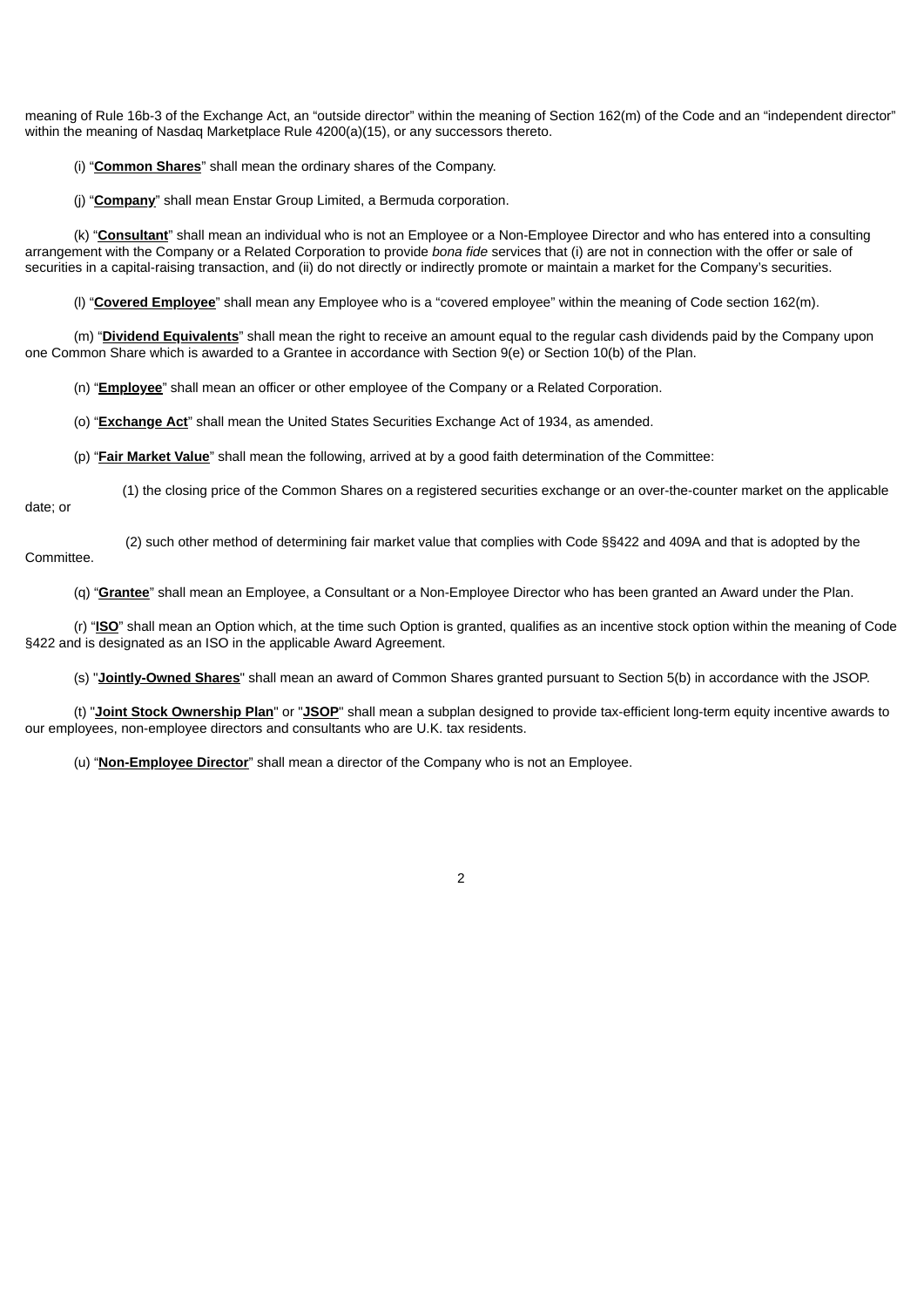meaning of Rule 16b-3 of the Exchange Act, an "outside director" within the meaning of Section 162(m) of the Code and an "independent director" within the meaning of Nasdaq Marketplace Rule 4200(a)(15), or any successors thereto.

(i) "**Common Shares**" shall mean the ordinary shares of the Company.

(j) "**Company**" shall mean Enstar Group Limited, a Bermuda corporation.

(k) "**Consultant**" shall mean an individual who is not an Employee or a Non-Employee Director and who has entered into a consulting arrangement with the Company or a Related Corporation to provide *bona fide* services that (i) are not in connection with the offer or sale of securities in a capital-raising transaction, and (ii) do not directly or indirectly promote or maintain a market for the Company's securities.

(l) "**Covered Employee**" shall mean any Employee who is a "covered employee" within the meaning of Code section 162(m).

(m) "**Dividend Equivalents**" shall mean the right to receive an amount equal to the regular cash dividends paid by the Company upon one Common Share which is awarded to a Grantee in accordance with Section 9(e) or Section 10(b) of the Plan.

(n) "**Employee**" shall mean an officer or other employee of the Company or a Related Corporation.

(o) "**Exchange Act**" shall mean the United States Securities Exchange Act of 1934, as amended.

(p) "**Fair Market Value**" shall mean the following, arrived at by a good faith determination of the Committee:

(1) the closing price of the Common Shares on a registered securities exchange or an over-the-counter market on the applicable

date; or

(2) such other method of determining fair market value that complies with Code §§422 and 409A and that is adopted by the Committee.

(q) "**Grantee**" shall mean an Employee, a Consultant or a Non-Employee Director who has been granted an Award under the Plan.

(r) "**ISO**" shall mean an Option which, at the time such Option is granted, qualifies as an incentive stock option within the meaning of Code §422 and is designated as an ISO in the applicable Award Agreement.

(s) "**Jointly-Owned Shares**" shall mean an award of Common Shares granted pursuant to Section 5(b) in accordance with the JSOP.

(t) "**Joint Stock Ownership Plan**" or "**JSOP**" shall mean a subplan designed to provide tax-efficient long-term equity incentive awards to our employees, non-employee directors and consultants who are U.K. tax residents.

(u) "**Non-Employee Director**" shall mean a director of the Company who is not an Employee.

 $\mathfrak{p}$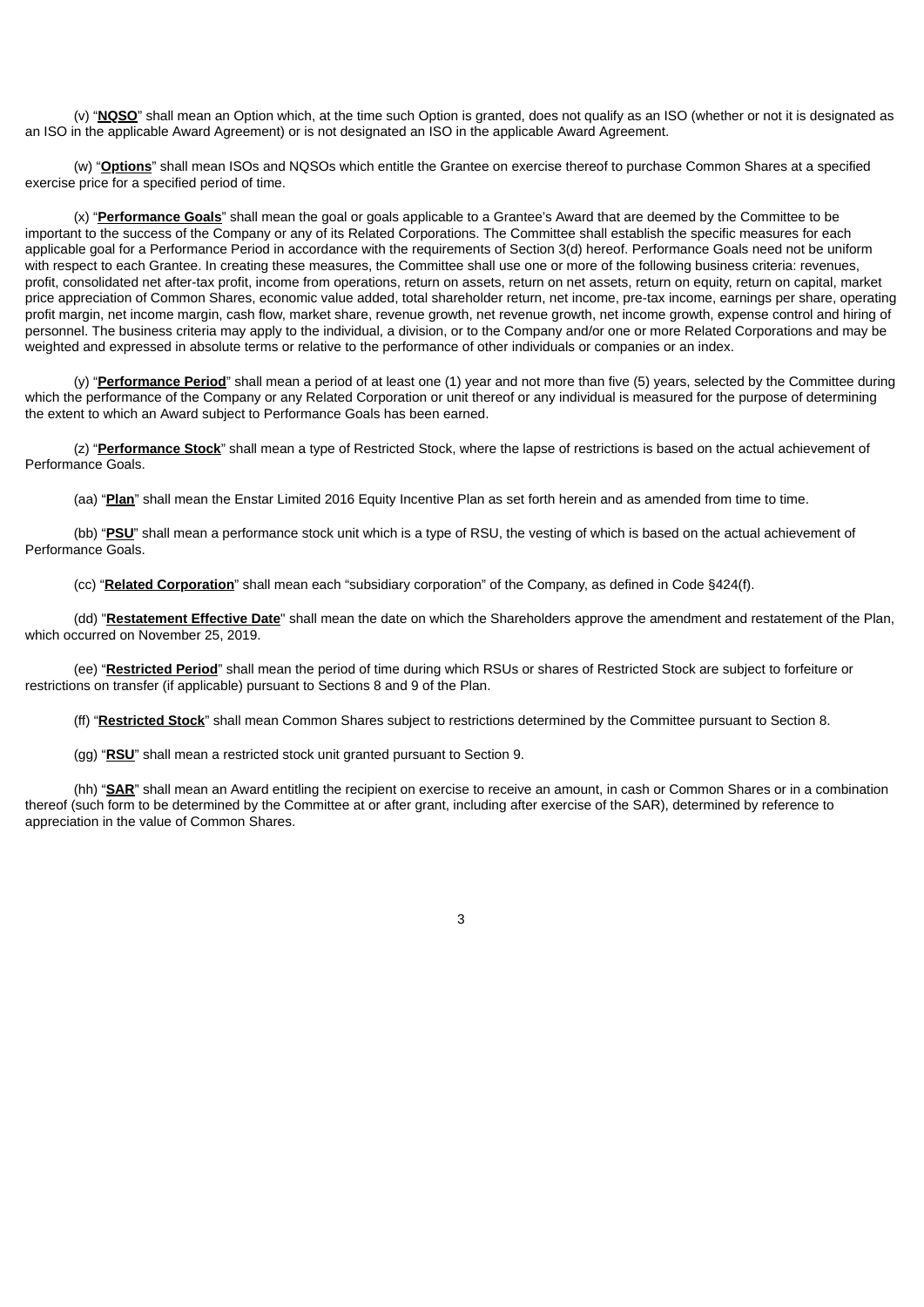(v) "**NQSO**" shall mean an Option which, at the time such Option is granted, does not qualify as an ISO (whether or not it is designated as an ISO in the applicable Award Agreement) or is not designated an ISO in the applicable Award Agreement.

(w) "**Options**" shall mean ISOs and NQSOs which entitle the Grantee on exercise thereof to purchase Common Shares at a specified exercise price for a specified period of time.

(x) "**Performance Goals**" shall mean the goal or goals applicable to a Grantee's Award that are deemed by the Committee to be important to the success of the Company or any of its Related Corporations. The Committee shall establish the specific measures for each applicable goal for a Performance Period in accordance with the requirements of Section 3(d) hereof. Performance Goals need not be uniform with respect to each Grantee. In creating these measures, the Committee shall use one or more of the following business criteria: revenues, profit, consolidated net after-tax profit, income from operations, return on assets, return on net assets, return on equity, return on capital, market price appreciation of Common Shares, economic value added, total shareholder return, net income, pre-tax income, earnings per share, operating profit margin, net income margin, cash flow, market share, revenue growth, net revenue growth, net income growth, expense control and hiring of personnel. The business criteria may apply to the individual, a division, or to the Company and/or one or more Related Corporations and may be weighted and expressed in absolute terms or relative to the performance of other individuals or companies or an index.

(y) "**Performance Period**" shall mean a period of at least one (1) year and not more than five (5) years, selected by the Committee during which the performance of the Company or any Related Corporation or unit thereof or any individual is measured for the purpose of determining the extent to which an Award subject to Performance Goals has been earned.

(z) "**Performance Stock**" shall mean a type of Restricted Stock, where the lapse of restrictions is based on the actual achievement of Performance Goals.

(aa) "**Plan**" shall mean the Enstar Limited 2016 Equity Incentive Plan as set forth herein and as amended from time to time.

(bb) "**PSU**" shall mean a performance stock unit which is a type of RSU, the vesting of which is based on the actual achievement of Performance Goals.

(cc) "**Related Corporation**" shall mean each "subsidiary corporation" of the Company, as defined in Code §424(f).

(dd) "**Restatement Effective Date**" shall mean the date on which the Shareholders approve the amendment and restatement of the Plan, which occurred on November 25, 2019.

(ee) "**Restricted Period**" shall mean the period of time during which RSUs or shares of Restricted Stock are subject to forfeiture or restrictions on transfer (if applicable) pursuant to Sections 8 and 9 of the Plan.

(ff) "**Restricted Stock**" shall mean Common Shares subject to restrictions determined by the Committee pursuant to Section 8.

(gg) "**RSU**" shall mean a restricted stock unit granted pursuant to Section 9.

(hh) "**SAR**" shall mean an Award entitling the recipient on exercise to receive an amount, in cash or Common Shares or in a combination thereof (such form to be determined by the Committee at or after grant, including after exercise of the SAR), determined by reference to appreciation in the value of Common Shares.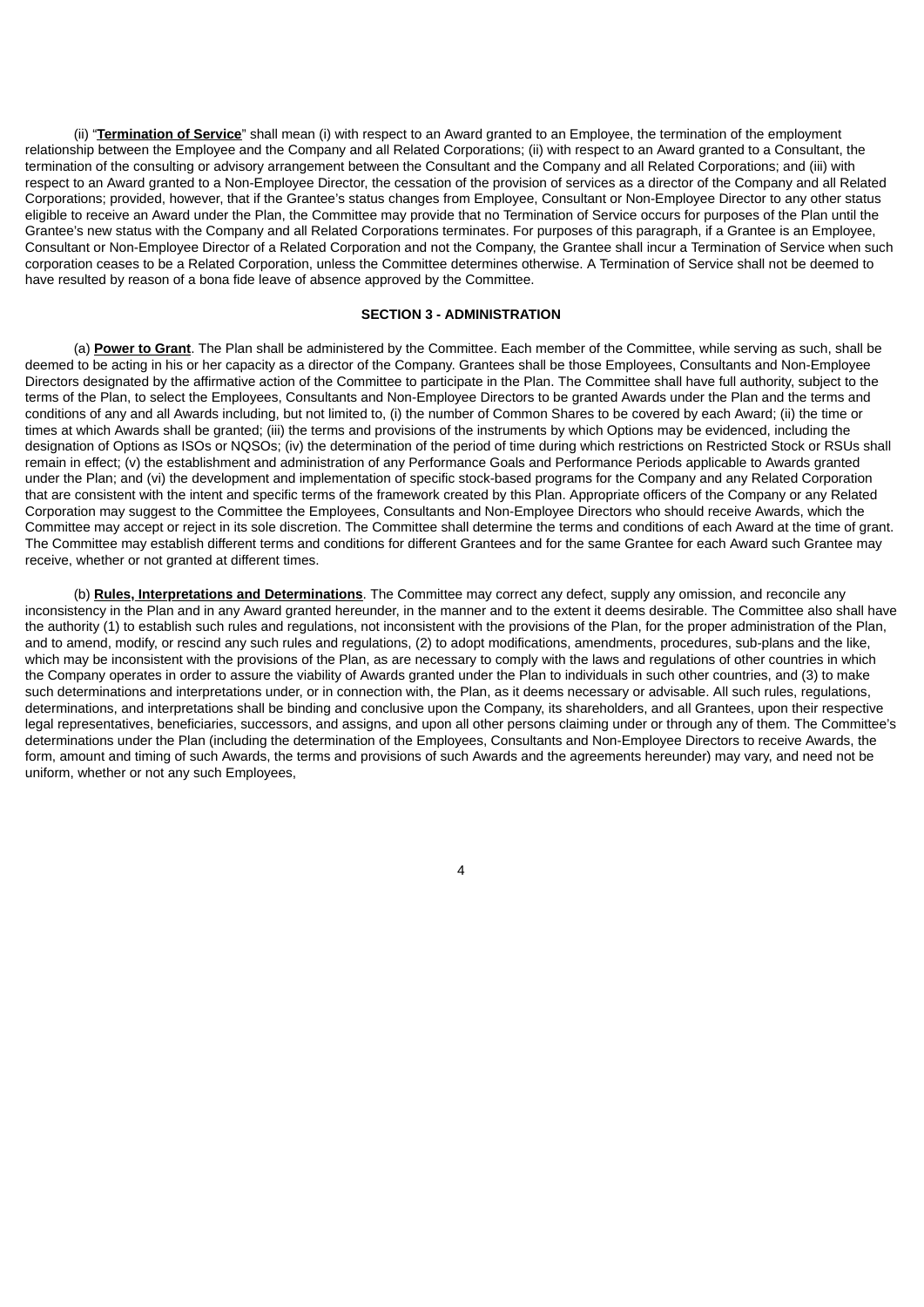(ii) "**Termination of Service**" shall mean (i) with respect to an Award granted to an Employee, the termination of the employment relationship between the Employee and the Company and all Related Corporations; (ii) with respect to an Award granted to a Consultant, the termination of the consulting or advisory arrangement between the Consultant and the Company and all Related Corporations; and (iii) with respect to an Award granted to a Non-Employee Director, the cessation of the provision of services as a director of the Company and all Related Corporations; provided, however, that if the Grantee's status changes from Employee, Consultant or Non-Employee Director to any other status eligible to receive an Award under the Plan, the Committee may provide that no Termination of Service occurs for purposes of the Plan until the Grantee's new status with the Company and all Related Corporations terminates. For purposes of this paragraph, if a Grantee is an Employee, Consultant or Non-Employee Director of a Related Corporation and not the Company, the Grantee shall incur a Termination of Service when such corporation ceases to be a Related Corporation, unless the Committee determines otherwise. A Termination of Service shall not be deemed to have resulted by reason of a bona fide leave of absence approved by the Committee.

## **SECTION 3 - ADMINISTRATION**

(a) **Power to Grant**. The Plan shall be administered by the Committee. Each member of the Committee, while serving as such, shall be deemed to be acting in his or her capacity as a director of the Company. Grantees shall be those Employees, Consultants and Non-Employee Directors designated by the affirmative action of the Committee to participate in the Plan. The Committee shall have full authority, subject to the terms of the Plan, to select the Employees, Consultants and Non-Employee Directors to be granted Awards under the Plan and the terms and conditions of any and all Awards including, but not limited to, (i) the number of Common Shares to be covered by each Award; (ii) the time or times at which Awards shall be granted; (iii) the terms and provisions of the instruments by which Options may be evidenced, including the designation of Options as ISOs or NQSOs; (iv) the determination of the period of time during which restrictions on Restricted Stock or RSUs shall remain in effect: (y) the establishment and administration of any Performance Goals and Performance Periods applicable to Awards granted under the Plan; and (vi) the development and implementation of specific stock-based programs for the Company and any Related Corporation that are consistent with the intent and specific terms of the framework created by this Plan. Appropriate officers of the Company or any Related Corporation may suggest to the Committee the Employees, Consultants and Non-Employee Directors who should receive Awards, which the Committee may accept or reject in its sole discretion. The Committee shall determine the terms and conditions of each Award at the time of grant. The Committee may establish different terms and conditions for different Grantees and for the same Grantee for each Award such Grantee may receive, whether or not granted at different times.

(b) **Rules, Interpretations and Determinations**. The Committee may correct any defect, supply any omission, and reconcile any inconsistency in the Plan and in any Award granted hereunder, in the manner and to the extent it deems desirable. The Committee also shall have the authority (1) to establish such rules and regulations, not inconsistent with the provisions of the Plan, for the proper administration of the Plan, and to amend, modify, or rescind any such rules and regulations, (2) to adopt modifications, amendments, procedures, sub-plans and the like, which may be inconsistent with the provisions of the Plan, as are necessary to comply with the laws and regulations of other countries in which the Company operates in order to assure the viability of Awards granted under the Plan to individuals in such other countries, and (3) to make such determinations and interpretations under, or in connection with, the Plan, as it deems necessary or advisable. All such rules, regulations, determinations, and interpretations shall be binding and conclusive upon the Company, its shareholders, and all Grantees, upon their respective legal representatives, beneficiaries, successors, and assigns, and upon all other persons claiming under or through any of them. The Committee's determinations under the Plan (including the determination of the Employees, Consultants and Non-Employee Directors to receive Awards, the form, amount and timing of such Awards, the terms and provisions of such Awards and the agreements hereunder) may vary, and need not be uniform, whether or not any such Employees,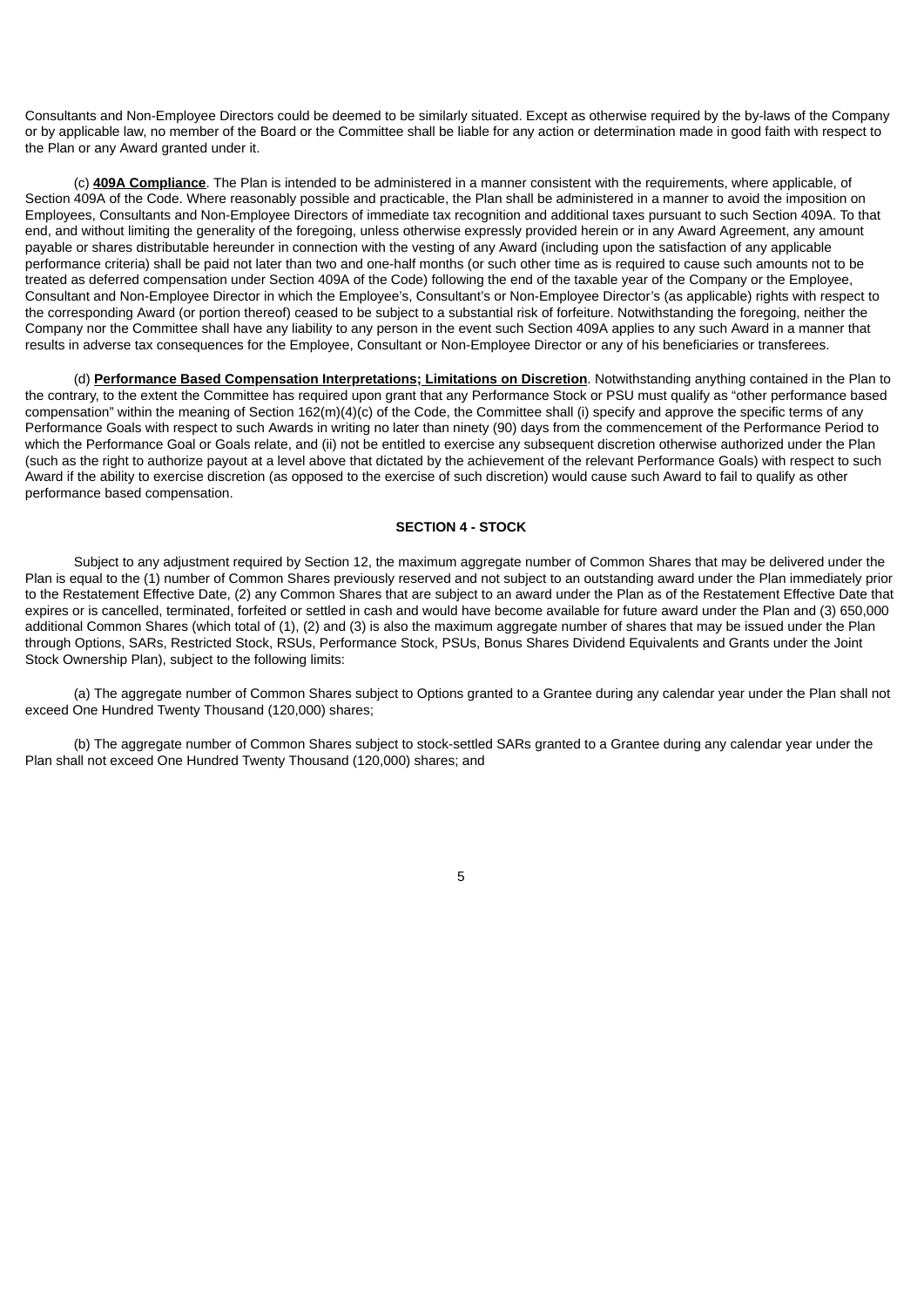Consultants and Non-Employee Directors could be deemed to be similarly situated. Except as otherwise required by the by-laws of the Company or by applicable law, no member of the Board or the Committee shall be liable for any action or determination made in good faith with respect to the Plan or any Award granted under it.

(c) **409A Compliance**. The Plan is intended to be administered in a manner consistent with the requirements, where applicable, of Section 409A of the Code. Where reasonably possible and practicable, the Plan shall be administered in a manner to avoid the imposition on Employees, Consultants and Non-Employee Directors of immediate tax recognition and additional taxes pursuant to such Section 409A. To that end, and without limiting the generality of the foregoing, unless otherwise expressly provided herein or in any Award Agreement, any amount payable or shares distributable hereunder in connection with the vesting of any Award (including upon the satisfaction of any applicable performance criteria) shall be paid not later than two and one-half months (or such other time as is required to cause such amounts not to be treated as deferred compensation under Section 409A of the Code) following the end of the taxable year of the Company or the Employee, Consultant and Non-Employee Director in which the Employee's, Consultant's or Non-Employee Director's (as applicable) rights with respect to the corresponding Award (or portion thereof) ceased to be subject to a substantial risk of forfeiture. Notwithstanding the foregoing, neither the Company nor the Committee shall have any liability to any person in the event such Section 409A applies to any such Award in a manner that results in adverse tax consequences for the Employee, Consultant or Non-Employee Director or any of his beneficiaries or transferees.

(d) **Performance Based Compensation Interpretations; Limitations on Discretion**. Notwithstanding anything contained in the Plan to the contrary, to the extent the Committee has required upon grant that any Performance Stock or PSU must qualify as "other performance based compensation" within the meaning of Section 162(m)(4)(c) of the Code, the Committee shall (i) specify and approve the specific terms of any Performance Goals with respect to such Awards in writing no later than ninety (90) days from the commencement of the Performance Period to which the Performance Goal or Goals relate, and (ii) not be entitled to exercise any subsequent discretion otherwise authorized under the Plan (such as the right to authorize payout at a level above that dictated by the achievement of the relevant Performance Goals) with respect to such Award if the ability to exercise discretion (as opposed to the exercise of such discretion) would cause such Award to fail to qualify as other performance based compensation.

## **SECTION 4 - STOCK**

Subject to any adjustment required by Section 12, the maximum aggregate number of Common Shares that may be delivered under the Plan is equal to the (1) number of Common Shares previously reserved and not subject to an outstanding award under the Plan immediately prior to the Restatement Effective Date, (2) any Common Shares that are subject to an award under the Plan as of the Restatement Effective Date that expires or is cancelled, terminated, forfeited or settled in cash and would have become available for future award under the Plan and (3) 650,000 additional Common Shares (which total of (1), (2) and (3) is also the maximum aggregate number of shares that may be issued under the Plan through Options, SARs, Restricted Stock, RSUs, Performance Stock, PSUs, Bonus Shares Dividend Equivalents and Grants under the Joint Stock Ownership Plan), subject to the following limits:

(a) The aggregate number of Common Shares subject to Options granted to a Grantee during any calendar year under the Plan shall not exceed One Hundred Twenty Thousand (120,000) shares;

(b) The aggregate number of Common Shares subject to stock-settled SARs granted to a Grantee during any calendar year under the Plan shall not exceed One Hundred Twenty Thousand (120,000) shares; and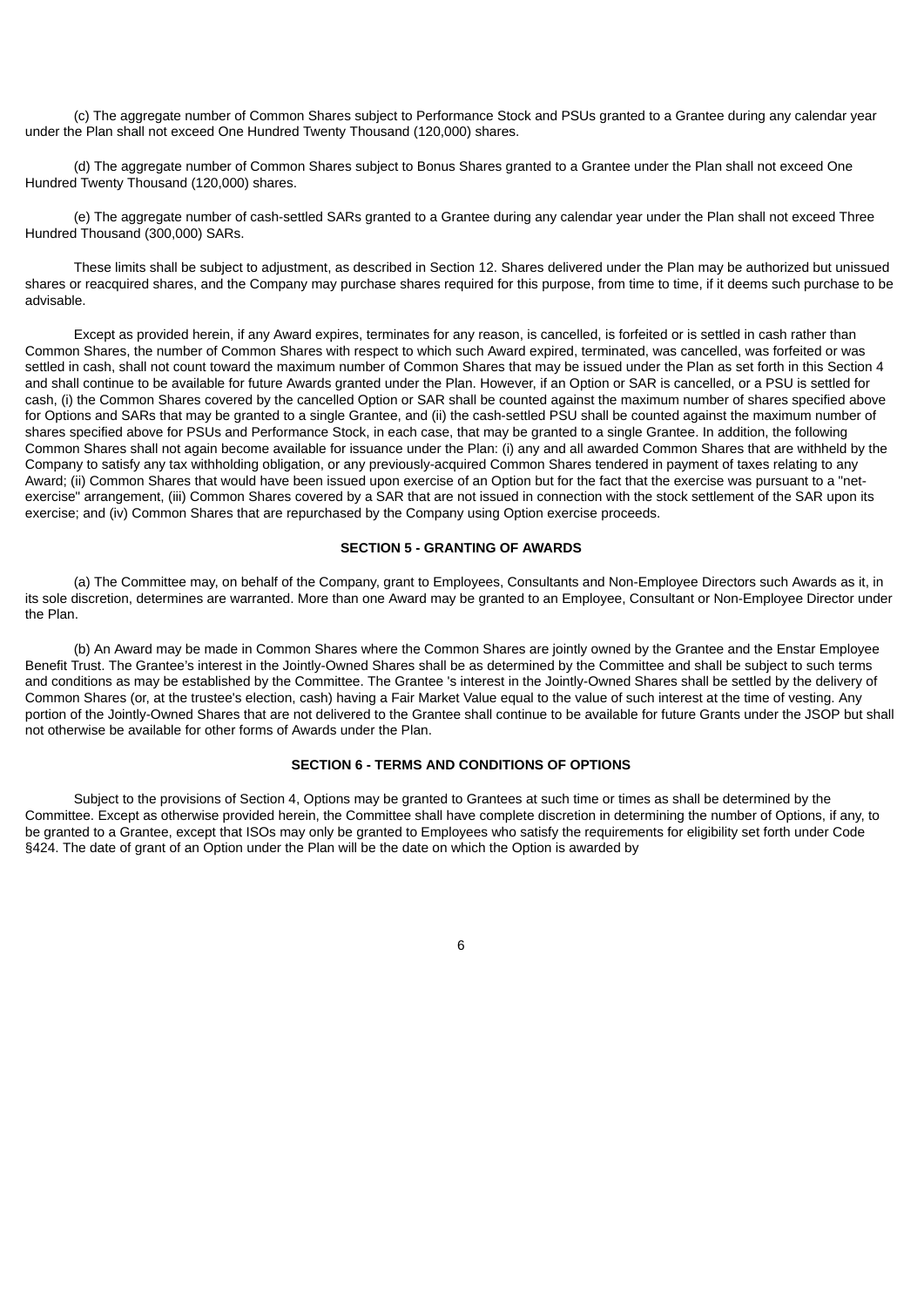(c) The aggregate number of Common Shares subject to Performance Stock and PSUs granted to a Grantee during any calendar year under the Plan shall not exceed One Hundred Twenty Thousand (120,000) shares.

(d) The aggregate number of Common Shares subject to Bonus Shares granted to a Grantee under the Plan shall not exceed One Hundred Twenty Thousand (120,000) shares.

(e) The aggregate number of cash-settled SARs granted to a Grantee during any calendar year under the Plan shall not exceed Three Hundred Thousand (300,000) SARs.

These limits shall be subject to adjustment, as described in Section 12. Shares delivered under the Plan may be authorized but unissued shares or reacquired shares, and the Company may purchase shares required for this purpose, from time to time, if it deems such purchase to be advisable.

Except as provided herein, if any Award expires, terminates for any reason, is cancelled, is forfeited or is settled in cash rather than Common Shares, the number of Common Shares with respect to which such Award expired, terminated, was cancelled, was forfeited or was settled in cash, shall not count toward the maximum number of Common Shares that may be issued under the Plan as set forth in this Section 4 and shall continue to be available for future Awards granted under the Plan. However, if an Option or SAR is cancelled, or a PSU is settled for cash, (i) the Common Shares covered by the cancelled Option or SAR shall be counted against the maximum number of shares specified above for Options and SARs that may be granted to a single Grantee, and (ii) the cash-settled PSU shall be counted against the maximum number of shares specified above for PSUs and Performance Stock, in each case, that may be granted to a single Grantee. In addition, the following Common Shares shall not again become available for issuance under the Plan: (i) any and all awarded Common Shares that are withheld by the Company to satisfy any tax withholding obligation, or any previously-acquired Common Shares tendered in payment of taxes relating to any Award; (ii) Common Shares that would have been issued upon exercise of an Option but for the fact that the exercise was pursuant to a "netexercise" arrangement, (iii) Common Shares covered by a SAR that are not issued in connection with the stock settlement of the SAR upon its exercise; and (iv) Common Shares that are repurchased by the Company using Option exercise proceeds.

#### **SECTION 5 - GRANTING OF AWARDS**

(a) The Committee may, on behalf of the Company, grant to Employees, Consultants and Non-Employee Directors such Awards as it, in its sole discretion, determines are warranted. More than one Award may be granted to an Employee, Consultant or Non-Employee Director under the Plan.

(b) An Award may be made in Common Shares where the Common Shares are jointly owned by the Grantee and the Enstar Employee Benefit Trust. The Grantee's interest in the Jointly-Owned Shares shall be as determined by the Committee and shall be subject to such terms and conditions as may be established by the Committee. The Grantee 's interest in the Jointly-Owned Shares shall be settled by the delivery of Common Shares (or, at the trustee's election, cash) having a Fair Market Value equal to the value of such interest at the time of vesting. Any portion of the Jointly-Owned Shares that are not delivered to the Grantee shall continue to be available for future Grants under the JSOP but shall not otherwise be available for other forms of Awards under the Plan.

## **SECTION 6 - TERMS AND CONDITIONS OF OPTIONS**

Subject to the provisions of Section 4, Options may be granted to Grantees at such time or times as shall be determined by the Committee. Except as otherwise provided herein, the Committee shall have complete discretion in determining the number of Options, if any, to be granted to a Grantee, except that ISOs may only be granted to Employees who satisfy the requirements for eligibility set forth under Code §424. The date of grant of an Option under the Plan will be the date on which the Option is awarded by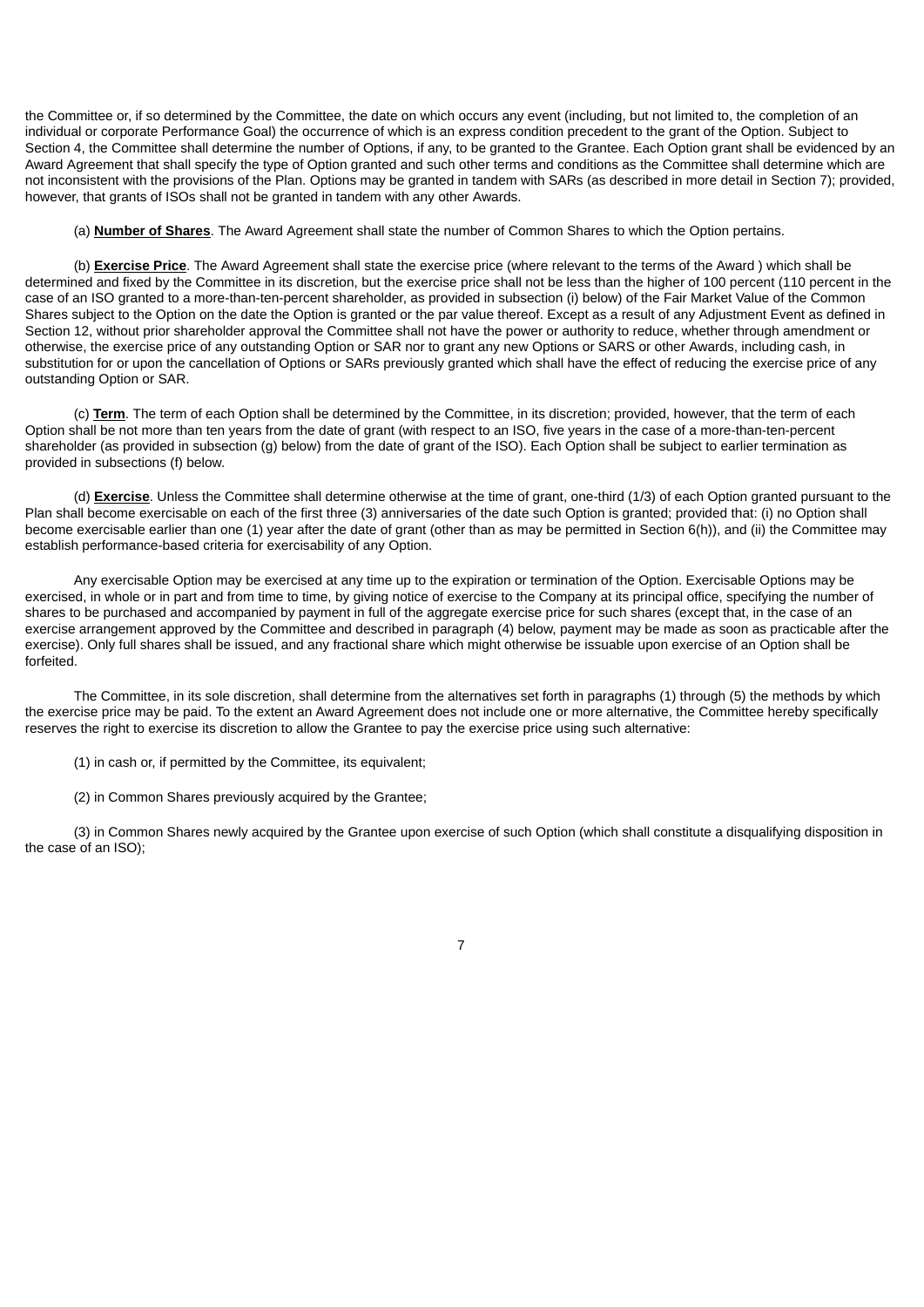the Committee or, if so determined by the Committee, the date on which occurs any event (including, but not limited to, the completion of an individual or corporate Performance Goal) the occurrence of which is an express condition precedent to the grant of the Option. Subject to Section 4, the Committee shall determine the number of Options, if any, to be granted to the Grantee. Each Option grant shall be evidenced by an Award Agreement that shall specify the type of Option granted and such other terms and conditions as the Committee shall determine which are not inconsistent with the provisions of the Plan. Options may be granted in tandem with SARs (as described in more detail in Section 7); provided, however, that grants of ISOs shall not be granted in tandem with any other Awards.

(a) **Number of Shares**. The Award Agreement shall state the number of Common Shares to which the Option pertains.

(b) **Exercise Price**. The Award Agreement shall state the exercise price (where relevant to the terms of the Award ) which shall be determined and fixed by the Committee in its discretion, but the exercise price shall not be less than the higher of 100 percent (110 percent in the case of an ISO granted to a more-than-ten-percent shareholder, as provided in subsection (i) below) of the Fair Market Value of the Common Shares subject to the Option on the date the Option is granted or the par value thereof. Except as a result of any Adjustment Event as defined in Section 12, without prior shareholder approval the Committee shall not have the power or authority to reduce, whether through amendment or otherwise, the exercise price of any outstanding Option or SAR nor to grant any new Options or SARS or other Awards, including cash, in substitution for or upon the cancellation of Options or SARs previously granted which shall have the effect of reducing the exercise price of any outstanding Option or SAR.

(c) **Term**. The term of each Option shall be determined by the Committee, in its discretion; provided, however, that the term of each Option shall be not more than ten years from the date of grant (with respect to an ISO, five years in the case of a more-than-ten-percent shareholder (as provided in subsection (g) below) from the date of grant of the ISO). Each Option shall be subject to earlier termination as provided in subsections (f) below.

(d) **Exercise**. Unless the Committee shall determine otherwise at the time of grant, one-third (1/3) of each Option granted pursuant to the Plan shall become exercisable on each of the first three (3) anniversaries of the date such Option is granted; provided that: (i) no Option shall become exercisable earlier than one (1) year after the date of grant (other than as may be permitted in Section 6(h)), and (ii) the Committee may establish performance-based criteria for exercisability of any Option.

Any exercisable Option may be exercised at any time up to the expiration or termination of the Option. Exercisable Options may be exercised, in whole or in part and from time to time, by giving notice of exercise to the Company at its principal office, specifying the number of shares to be purchased and accompanied by payment in full of the aggregate exercise price for such shares (except that, in the case of an exercise arrangement approved by the Committee and described in paragraph (4) below, payment may be made as soon as practicable after the exercise). Only full shares shall be issued, and any fractional share which might otherwise be issuable upon exercise of an Option shall be forfeited.

The Committee, in its sole discretion, shall determine from the alternatives set forth in paragraphs (1) through (5) the methods by which the exercise price may be paid. To the extent an Award Agreement does not include one or more alternative, the Committee hereby specifically reserves the right to exercise its discretion to allow the Grantee to pay the exercise price using such alternative:

(1) in cash or, if permitted by the Committee, its equivalent;

(2) in Common Shares previously acquired by the Grantee;

(3) in Common Shares newly acquired by the Grantee upon exercise of such Option (which shall constitute a disqualifying disposition in the case of an ISO);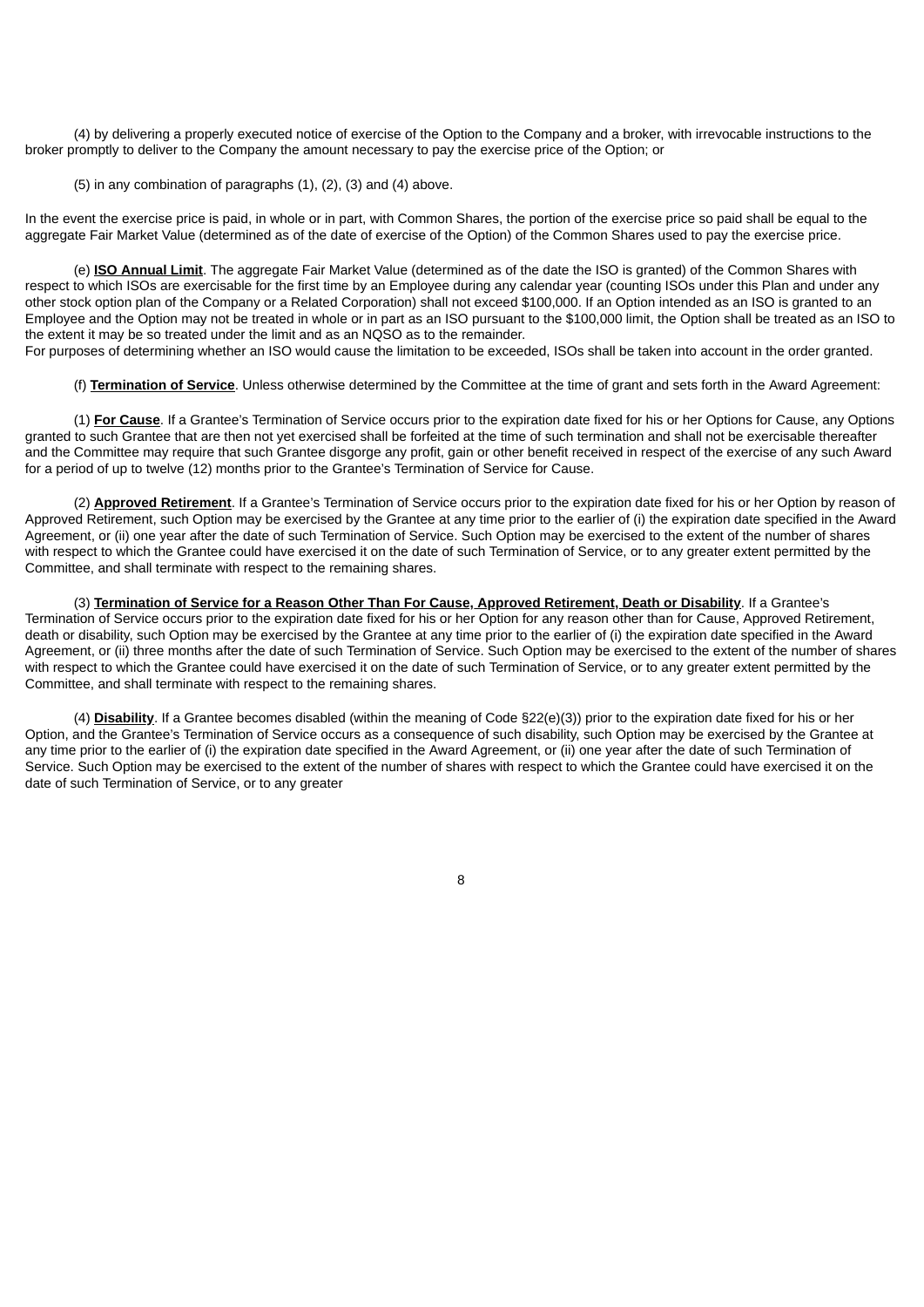(4) by delivering a properly executed notice of exercise of the Option to the Company and a broker, with irrevocable instructions to the broker promptly to deliver to the Company the amount necessary to pay the exercise price of the Option; or

(5) in any combination of paragraphs (1), (2), (3) and (4) above.

In the event the exercise price is paid, in whole or in part, with Common Shares, the portion of the exercise price so paid shall be equal to the aggregate Fair Market Value (determined as of the date of exercise of the Option) of the Common Shares used to pay the exercise price.

(e) **ISO Annual Limit**. The aggregate Fair Market Value (determined as of the date the ISO is granted) of the Common Shares with respect to which ISOs are exercisable for the first time by an Employee during any calendar year (counting ISOs under this Plan and under any other stock option plan of the Company or a Related Corporation) shall not exceed \$100,000. If an Option intended as an ISO is granted to an Employee and the Option may not be treated in whole or in part as an ISO pursuant to the \$100,000 limit, the Option shall be treated as an ISO to the extent it may be so treated under the limit and as an NQSO as to the remainder.

For purposes of determining whether an ISO would cause the limitation to be exceeded, ISOs shall be taken into account in the order granted.

(f) **Termination of Service**. Unless otherwise determined by the Committee at the time of grant and sets forth in the Award Agreement:

(1) **For Cause**. If a Grantee's Termination of Service occurs prior to the expiration date fixed for his or her Options for Cause, any Options granted to such Grantee that are then not yet exercised shall be forfeited at the time of such termination and shall not be exercisable thereafter and the Committee may require that such Grantee disgorge any profit, gain or other benefit received in respect of the exercise of any such Award for a period of up to twelve (12) months prior to the Grantee's Termination of Service for Cause.

(2) **Approved Retirement**. If a Grantee's Termination of Service occurs prior to the expiration date fixed for his or her Option by reason of Approved Retirement, such Option may be exercised by the Grantee at any time prior to the earlier of (i) the expiration date specified in the Award Agreement, or (ii) one year after the date of such Termination of Service. Such Option may be exercised to the extent of the number of shares with respect to which the Grantee could have exercised it on the date of such Termination of Service, or to any greater extent permitted by the Committee, and shall terminate with respect to the remaining shares.

(3) **Termination of Service for a Reason Other Than For Cause, Approved Retirement, Death or Disability**. If a Grantee's Termination of Service occurs prior to the expiration date fixed for his or her Option for any reason other than for Cause, Approved Retirement, death or disability, such Option may be exercised by the Grantee at any time prior to the earlier of (i) the expiration date specified in the Award Agreement, or (ii) three months after the date of such Termination of Service. Such Option may be exercised to the extent of the number of shares with respect to which the Grantee could have exercised it on the date of such Termination of Service, or to any greater extent permitted by the Committee, and shall terminate with respect to the remaining shares.

(4) **Disability**. If a Grantee becomes disabled (within the meaning of Code §22(e)(3)) prior to the expiration date fixed for his or her Option, and the Grantee's Termination of Service occurs as a consequence of such disability, such Option may be exercised by the Grantee at any time prior to the earlier of (i) the expiration date specified in the Award Agreement, or (ii) one year after the date of such Termination of Service. Such Option may be exercised to the extent of the number of shares with respect to which the Grantee could have exercised it on the date of such Termination of Service, or to any greater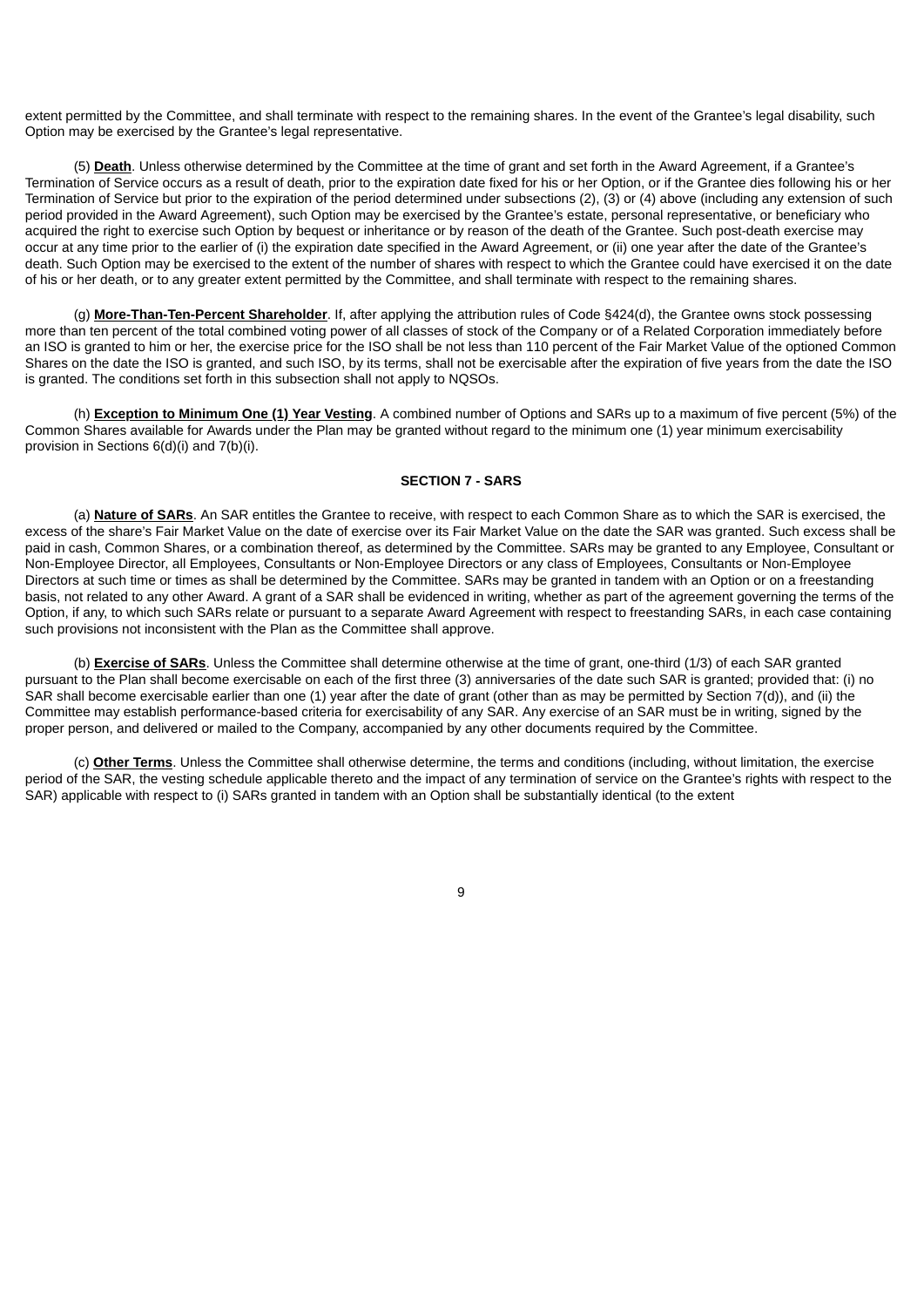extent permitted by the Committee, and shall terminate with respect to the remaining shares. In the event of the Grantee's legal disability, such Option may be exercised by the Grantee's legal representative.

(5) **Death**. Unless otherwise determined by the Committee at the time of grant and set forth in the Award Agreement, if a Grantee's Termination of Service occurs as a result of death, prior to the expiration date fixed for his or her Option, or if the Grantee dies following his or her Termination of Service but prior to the expiration of the period determined under subsections (2), (3) or (4) above (including any extension of such period provided in the Award Agreement), such Option may be exercised by the Grantee's estate, personal representative, or beneficiary who acquired the right to exercise such Option by bequest or inheritance or by reason of the death of the Grantee. Such post-death exercise may occur at any time prior to the earlier of (i) the expiration date specified in the Award Agreement, or (ii) one year after the date of the Grantee's death. Such Option may be exercised to the extent of the number of shares with respect to which the Grantee could have exercised it on the date of his or her death, or to any greater extent permitted by the Committee, and shall terminate with respect to the remaining shares.

(g) **More-Than-Ten-Percent Shareholder**. If, after applying the attribution rules of Code §424(d), the Grantee owns stock possessing more than ten percent of the total combined voting power of all classes of stock of the Company or of a Related Corporation immediately before an ISO is granted to him or her, the exercise price for the ISO shall be not less than 110 percent of the Fair Market Value of the optioned Common Shares on the date the ISO is granted, and such ISO, by its terms, shall not be exercisable after the expiration of five years from the date the ISO is granted. The conditions set forth in this subsection shall not apply to NQSOs.

(h) **Exception to Minimum One (1) Year Vesting**. A combined number of Options and SARs up to a maximum of five percent (5%) of the Common Shares available for Awards under the Plan may be granted without regard to the minimum one (1) year minimum exercisability provision in Sections 6(d)(i) and 7(b)(i).

#### **SECTION 7 - SARS**

(a) **Nature of SARs**. An SAR entitles the Grantee to receive, with respect to each Common Share as to which the SAR is exercised, the excess of the share's Fair Market Value on the date of exercise over its Fair Market Value on the date the SAR was granted. Such excess shall be paid in cash, Common Shares, or a combination thereof, as determined by the Committee. SARs may be granted to any Employee, Consultant or Non-Employee Director, all Employees, Consultants or Non-Employee Directors or any class of Employees, Consultants or Non-Employee Directors at such time or times as shall be determined by the Committee. SARs may be granted in tandem with an Option or on a freestanding basis, not related to any other Award. A grant of a SAR shall be evidenced in writing, whether as part of the agreement governing the terms of the Option, if any, to which such SARs relate or pursuant to a separate Award Agreement with respect to freestanding SARs, in each case containing such provisions not inconsistent with the Plan as the Committee shall approve.

(b) **Exercise of SARs**. Unless the Committee shall determine otherwise at the time of grant, one-third (1/3) of each SAR granted pursuant to the Plan shall become exercisable on each of the first three (3) anniversaries of the date such SAR is granted; provided that: (i) no SAR shall become exercisable earlier than one (1) year after the date of grant (other than as may be permitted by Section 7(d)), and (ii) the Committee may establish performance-based criteria for exercisability of any SAR. Any exercise of an SAR must be in writing, signed by the proper person, and delivered or mailed to the Company, accompanied by any other documents required by the Committee.

(c) **Other Terms**. Unless the Committee shall otherwise determine, the terms and conditions (including, without limitation, the exercise period of the SAR, the vesting schedule applicable thereto and the impact of any termination of service on the Grantee's rights with respect to the SAR) applicable with respect to (i) SARs granted in tandem with an Option shall be substantially identical (to the extent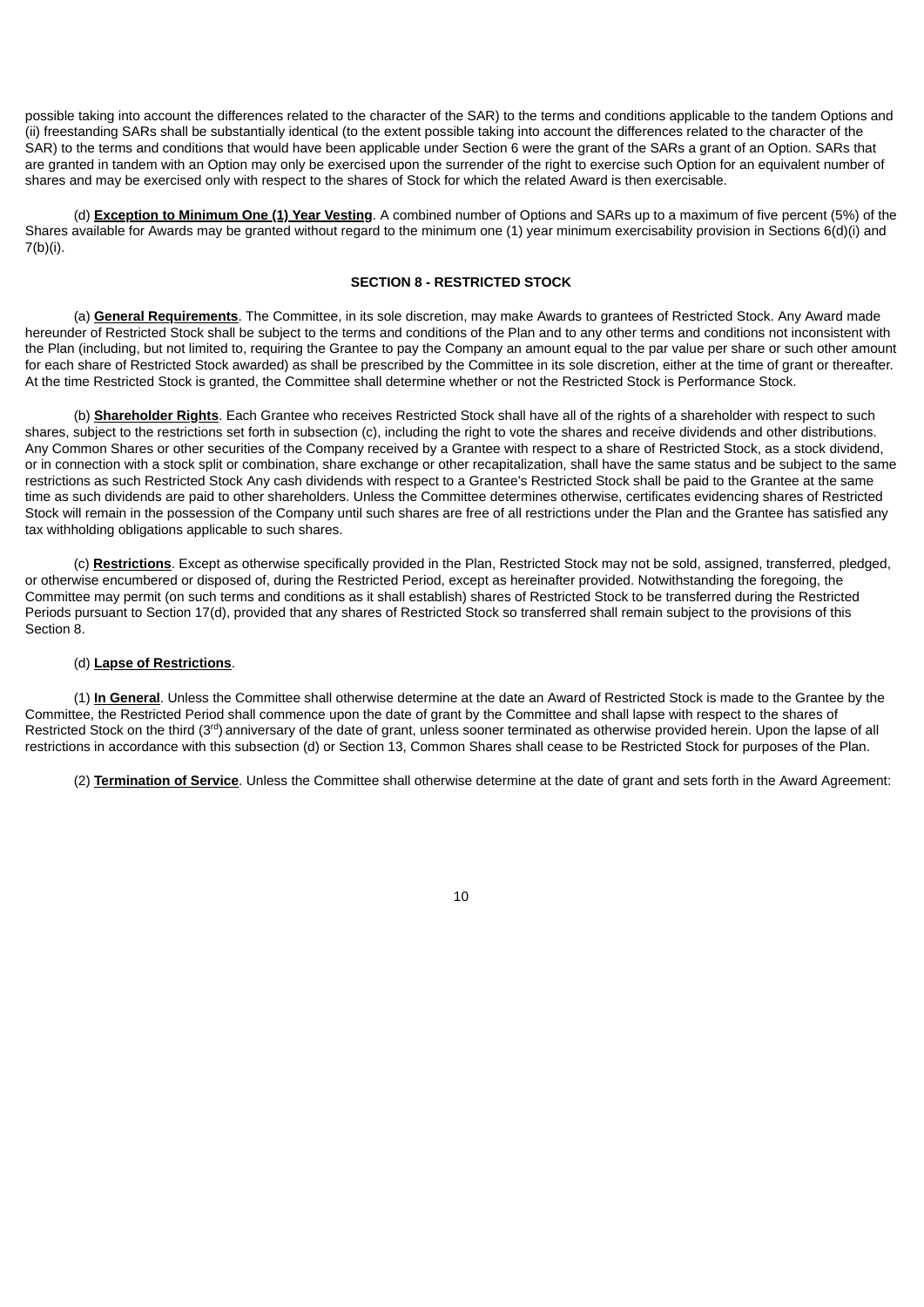possible taking into account the differences related to the character of the SAR) to the terms and conditions applicable to the tandem Options and (ii) freestanding SARs shall be substantially identical (to the extent possible taking into account the differences related to the character of the SAR) to the terms and conditions that would have been applicable under Section 6 were the grant of the SARs a grant of an Option. SARs that are granted in tandem with an Option may only be exercised upon the surrender of the right to exercise such Option for an equivalent number of shares and may be exercised only with respect to the shares of Stock for which the related Award is then exercisable.

(d) **Exception to Minimum One (1) Year Vesting**. A combined number of Options and SARs up to a maximum of five percent (5%) of the Shares available for Awards may be granted without regard to the minimum one (1) year minimum exercisability provision in Sections 6(d)(i) and 7(b)(i).

## **SECTION 8 - RESTRICTED STOCK**

(a) **General Requirements**. The Committee, in its sole discretion, may make Awards to grantees of Restricted Stock. Any Award made hereunder of Restricted Stock shall be subject to the terms and conditions of the Plan and to any other terms and conditions not inconsistent with the Plan (including, but not limited to, requiring the Grantee to pay the Company an amount equal to the par value per share or such other amount for each share of Restricted Stock awarded) as shall be prescribed by the Committee in its sole discretion, either at the time of grant or thereafter. At the time Restricted Stock is granted, the Committee shall determine whether or not the Restricted Stock is Performance Stock.

(b) **Shareholder Rights**. Each Grantee who receives Restricted Stock shall have all of the rights of a shareholder with respect to such shares, subject to the restrictions set forth in subsection (c), including the right to vote the shares and receive dividends and other distributions. Any Common Shares or other securities of the Company received by a Grantee with respect to a share of Restricted Stock, as a stock dividend, or in connection with a stock split or combination, share exchange or other recapitalization, shall have the same status and be subject to the same restrictions as such Restricted Stock Any cash dividends with respect to a Grantee's Restricted Stock shall be paid to the Grantee at the same time as such dividends are paid to other shareholders. Unless the Committee determines otherwise, certificates evidencing shares of Restricted Stock will remain in the possession of the Company until such shares are free of all restrictions under the Plan and the Grantee has satisfied any tax withholding obligations applicable to such shares.

(c) **Restrictions**. Except as otherwise specifically provided in the Plan, Restricted Stock may not be sold, assigned, transferred, pledged, or otherwise encumbered or disposed of, during the Restricted Period, except as hereinafter provided. Notwithstanding the foregoing, the Committee may permit (on such terms and conditions as it shall establish) shares of Restricted Stock to be transferred during the Restricted Periods pursuant to Section 17(d), provided that any shares of Restricted Stock so transferred shall remain subject to the provisions of this Section 8.

#### (d) **Lapse of Restrictions**.

(1) **In General**. Unless the Committee shall otherwise determine at the date an Award of Restricted Stock is made to the Grantee by the Committee, the Restricted Period shall commence upon the date of grant by the Committee and shall lapse with respect to the shares of Restricted Stock on the third (3<sup>rd</sup>) anniversary of the date of grant, unless sooner terminated as otherwise provided herein. Upon the lapse of all restrictions in accordance with this subsection (d) or Section 13, Common Shares shall cease to be Restricted Stock for purposes of the Plan.

(2) **Termination of Service**. Unless the Committee shall otherwise determine at the date of grant and sets forth in the Award Agreement: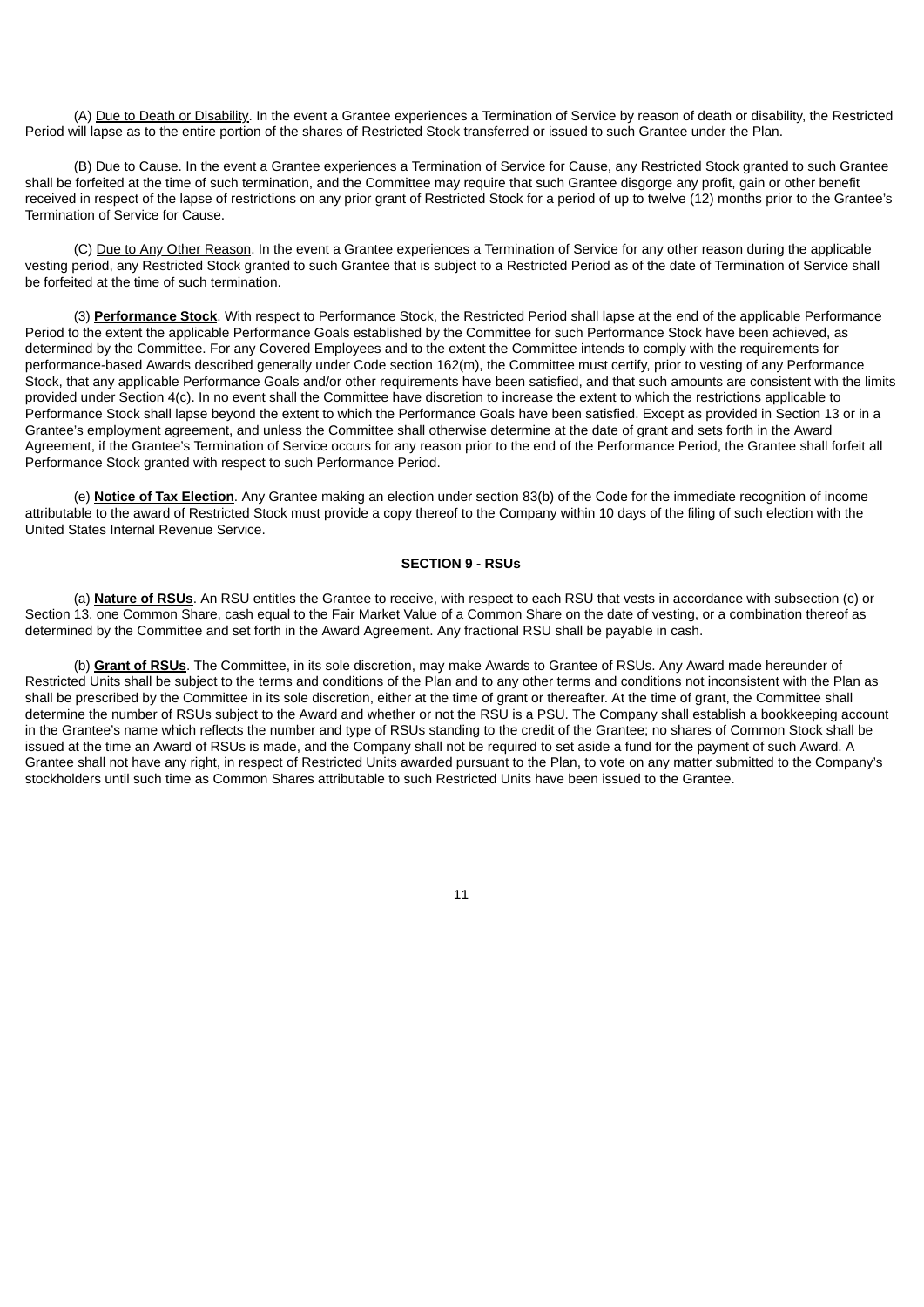(A) Due to Death or Disability. In the event a Grantee experiences a Termination of Service by reason of death or disability, the Restricted Period will lapse as to the entire portion of the shares of Restricted Stock transferred or issued to such Grantee under the Plan.

(B) Due to Cause. In the event a Grantee experiences a Termination of Service for Cause, any Restricted Stock granted to such Grantee shall be forfeited at the time of such termination, and the Committee may require that such Grantee disgorge any profit, gain or other benefit received in respect of the lapse of restrictions on any prior grant of Restricted Stock for a period of up to twelve (12) months prior to the Grantee's Termination of Service for Cause.

(C) Due to Any Other Reason. In the event a Grantee experiences a Termination of Service for any other reason during the applicable vesting period, any Restricted Stock granted to such Grantee that is subject to a Restricted Period as of the date of Termination of Service shall be forfeited at the time of such termination.

(3) **Performance Stock**. With respect to Performance Stock, the Restricted Period shall lapse at the end of the applicable Performance Period to the extent the applicable Performance Goals established by the Committee for such Performance Stock have been achieved, as determined by the Committee. For any Covered Employees and to the extent the Committee intends to comply with the requirements for performance-based Awards described generally under Code section 162(m), the Committee must certify, prior to vesting of any Performance Stock, that any applicable Performance Goals and/or other requirements have been satisfied, and that such amounts are consistent with the limits provided under Section 4(c). In no event shall the Committee have discretion to increase the extent to which the restrictions applicable to Performance Stock shall lapse beyond the extent to which the Performance Goals have been satisfied. Except as provided in Section 13 or in a Grantee's employment agreement, and unless the Committee shall otherwise determine at the date of grant and sets forth in the Award Agreement, if the Grantee's Termination of Service occurs for any reason prior to the end of the Performance Period, the Grantee shall forfeit all Performance Stock granted with respect to such Performance Period.

(e) **Notice of Tax Election**. Any Grantee making an election under section 83(b) of the Code for the immediate recognition of income attributable to the award of Restricted Stock must provide a copy thereof to the Company within 10 days of the filing of such election with the United States Internal Revenue Service.

#### **SECTION 9 - RSUs**

(a) **Nature of RSUs**. An RSU entitles the Grantee to receive, with respect to each RSU that vests in accordance with subsection (c) or Section 13, one Common Share, cash equal to the Fair Market Value of a Common Share on the date of vesting, or a combination thereof as determined by the Committee and set forth in the Award Agreement. Any fractional RSU shall be payable in cash.

(b) **Grant of RSUs**. The Committee, in its sole discretion, may make Awards to Grantee of RSUs. Any Award made hereunder of Restricted Units shall be subject to the terms and conditions of the Plan and to any other terms and conditions not inconsistent with the Plan as shall be prescribed by the Committee in its sole discretion, either at the time of grant or thereafter. At the time of grant, the Committee shall determine the number of RSUs subject to the Award and whether or not the RSU is a PSU. The Company shall establish a bookkeeping account in the Grantee's name which reflects the number and type of RSUs standing to the credit of the Grantee; no shares of Common Stock shall be issued at the time an Award of RSUs is made, and the Company shall not be required to set aside a fund for the payment of such Award. A Grantee shall not have any right, in respect of Restricted Units awarded pursuant to the Plan, to vote on any matter submitted to the Company's stockholders until such time as Common Shares attributable to such Restricted Units have been issued to the Grantee.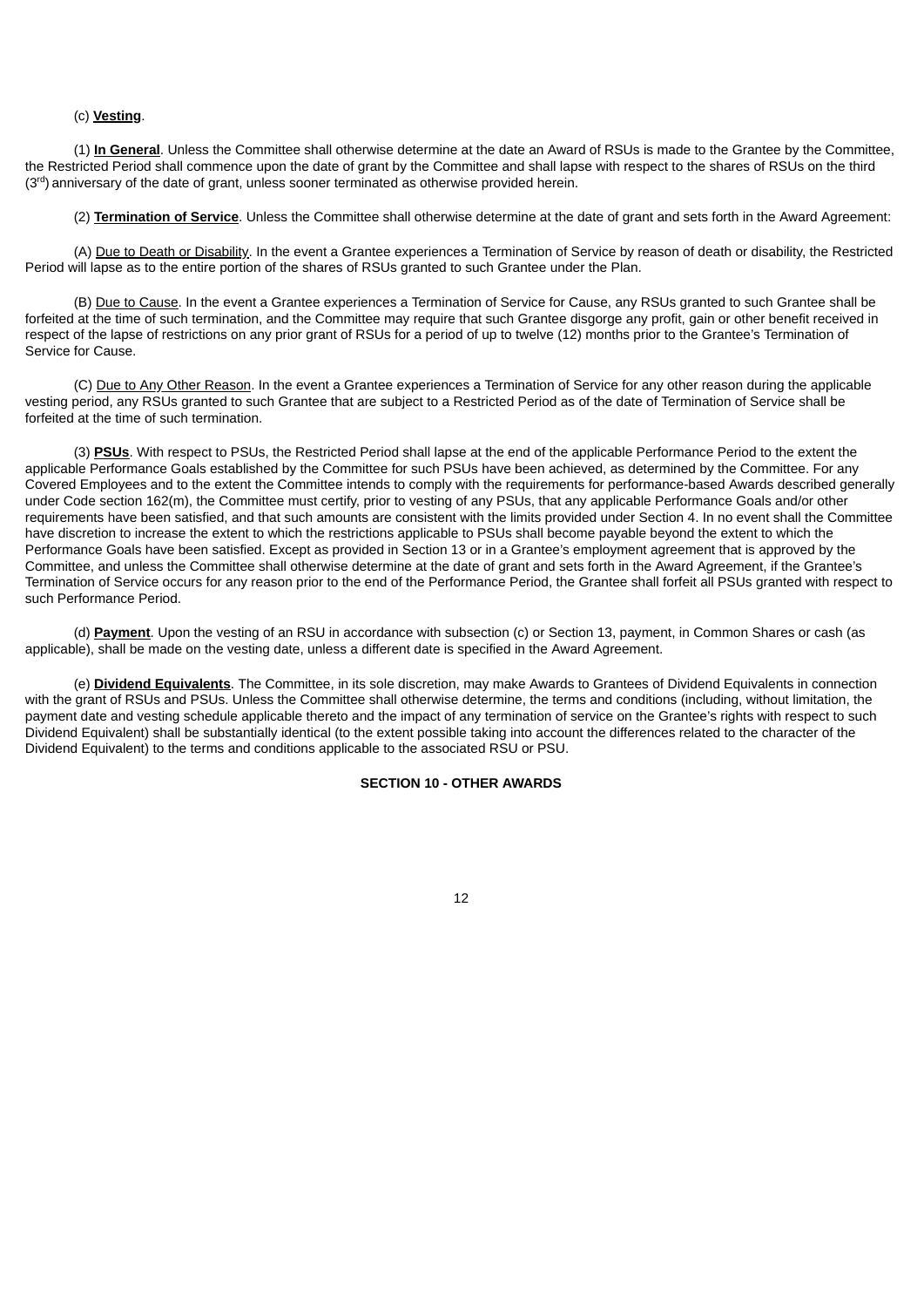## (c) **Vesting**.

(1) **In General**. Unless the Committee shall otherwise determine at the date an Award of RSUs is made to the Grantee by the Committee, the Restricted Period shall commence upon the date of grant by the Committee and shall lapse with respect to the shares of RSUs on the third  $(3<sup>rd</sup>)$  anniversary of the date of grant, unless sooner terminated as otherwise provided herein.

(2) **Termination of Service**. Unless the Committee shall otherwise determine at the date of grant and sets forth in the Award Agreement:

(A) Due to Death or Disability. In the event a Grantee experiences a Termination of Service by reason of death or disability, the Restricted Period will lapse as to the entire portion of the shares of RSUs granted to such Grantee under the Plan.

(B) Due to Cause. In the event a Grantee experiences a Termination of Service for Cause, any RSUs granted to such Grantee shall be forfeited at the time of such termination, and the Committee may require that such Grantee disgorge any profit, gain or other benefit received in respect of the lapse of restrictions on any prior grant of RSUs for a period of up to twelve (12) months prior to the Grantee's Termination of Service for Cause.

(C) Due to Any Other Reason. In the event a Grantee experiences a Termination of Service for any other reason during the applicable vesting period, any RSUs granted to such Grantee that are subject to a Restricted Period as of the date of Termination of Service shall be forfeited at the time of such termination.

(3) **PSUs**. With respect to PSUs, the Restricted Period shall lapse at the end of the applicable Performance Period to the extent the applicable Performance Goals established by the Committee for such PSUs have been achieved, as determined by the Committee. For any Covered Employees and to the extent the Committee intends to comply with the requirements for performance-based Awards described generally under Code section 162(m), the Committee must certify, prior to vesting of any PSUs, that any applicable Performance Goals and/or other requirements have been satisfied, and that such amounts are consistent with the limits provided under Section 4. In no event shall the Committee have discretion to increase the extent to which the restrictions applicable to PSUs shall become payable beyond the extent to which the Performance Goals have been satisfied. Except as provided in Section 13 or in a Grantee's employment agreement that is approved by the Committee, and unless the Committee shall otherwise determine at the date of grant and sets forth in the Award Agreement, if the Grantee's Termination of Service occurs for any reason prior to the end of the Performance Period, the Grantee shall forfeit all PSUs granted with respect to such Performance Period.

(d) **Payment**. Upon the vesting of an RSU in accordance with subsection (c) or Section 13, payment, in Common Shares or cash (as applicable), shall be made on the vesting date, unless a different date is specified in the Award Agreement.

(e) **Dividend Equivalents**. The Committee, in its sole discretion, may make Awards to Grantees of Dividend Equivalents in connection with the grant of RSUs and PSUs. Unless the Committee shall otherwise determine, the terms and conditions (including, without limitation, the payment date and vesting schedule applicable thereto and the impact of any termination of service on the Grantee's rights with respect to such Dividend Equivalent) shall be substantially identical (to the extent possible taking into account the differences related to the character of the Dividend Equivalent) to the terms and conditions applicable to the associated RSU or PSU.

#### **SECTION 10 - OTHER AWARDS**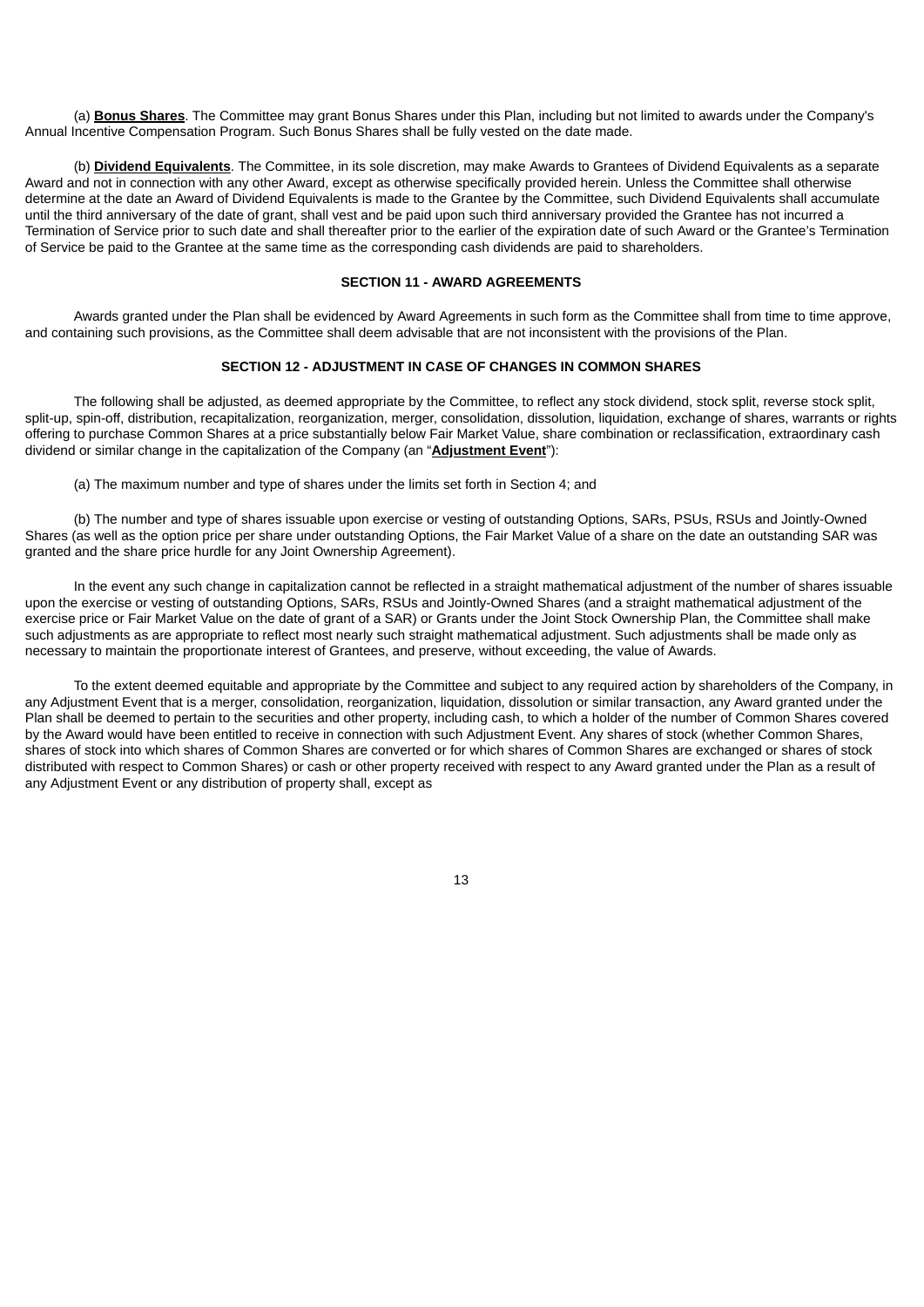(a) **Bonus Shares**. The Committee may grant Bonus Shares under this Plan, including but not limited to awards under the Company's Annual Incentive Compensation Program. Such Bonus Shares shall be fully vested on the date made.

(b) **Dividend Equivalents**. The Committee, in its sole discretion, may make Awards to Grantees of Dividend Equivalents as a separate Award and not in connection with any other Award, except as otherwise specifically provided herein. Unless the Committee shall otherwise determine at the date an Award of Dividend Equivalents is made to the Grantee by the Committee, such Dividend Equivalents shall accumulate until the third anniversary of the date of grant, shall vest and be paid upon such third anniversary provided the Grantee has not incurred a Termination of Service prior to such date and shall thereafter prior to the earlier of the expiration date of such Award or the Grantee's Termination of Service be paid to the Grantee at the same time as the corresponding cash dividends are paid to shareholders.

## **SECTION 11 - AWARD AGREEMENTS**

Awards granted under the Plan shall be evidenced by Award Agreements in such form as the Committee shall from time to time approve, and containing such provisions, as the Committee shall deem advisable that are not inconsistent with the provisions of the Plan.

## **SECTION 12 - ADJUSTMENT IN CASE OF CHANGES IN COMMON SHARES**

The following shall be adjusted, as deemed appropriate by the Committee, to reflect any stock dividend, stock split, reverse stock split, split-up, spin-off, distribution, recapitalization, reorganization, merger, consolidation, dissolution, liquidation, exchange of shares, warrants or rights offering to purchase Common Shares at a price substantially below Fair Market Value, share combination or reclassification, extraordinary cash dividend or similar change in the capitalization of the Company (an "**Adjustment Event**"):

(a) The maximum number and type of shares under the limits set forth in Section 4; and

(b) The number and type of shares issuable upon exercise or vesting of outstanding Options, SARs, PSUs, RSUs and Jointly-Owned Shares (as well as the option price per share under outstanding Options, the Fair Market Value of a share on the date an outstanding SAR was granted and the share price hurdle for any Joint Ownership Agreement).

In the event any such change in capitalization cannot be reflected in a straight mathematical adjustment of the number of shares issuable upon the exercise or vesting of outstanding Options, SARs, RSUs and Jointly-Owned Shares (and a straight mathematical adjustment of the exercise price or Fair Market Value on the date of grant of a SAR) or Grants under the Joint Stock Ownership Plan, the Committee shall make such adjustments as are appropriate to reflect most nearly such straight mathematical adjustment. Such adjustments shall be made only as necessary to maintain the proportionate interest of Grantees, and preserve, without exceeding, the value of Awards.

To the extent deemed equitable and appropriate by the Committee and subject to any required action by shareholders of the Company, in any Adjustment Event that is a merger, consolidation, reorganization, liquidation, dissolution or similar transaction, any Award granted under the Plan shall be deemed to pertain to the securities and other property, including cash, to which a holder of the number of Common Shares covered by the Award would have been entitled to receive in connection with such Adjustment Event. Any shares of stock (whether Common Shares, shares of stock into which shares of Common Shares are converted or for which shares of Common Shares are exchanged or shares of stock distributed with respect to Common Shares) or cash or other property received with respect to any Award granted under the Plan as a result of any Adjustment Event or any distribution of property shall, except as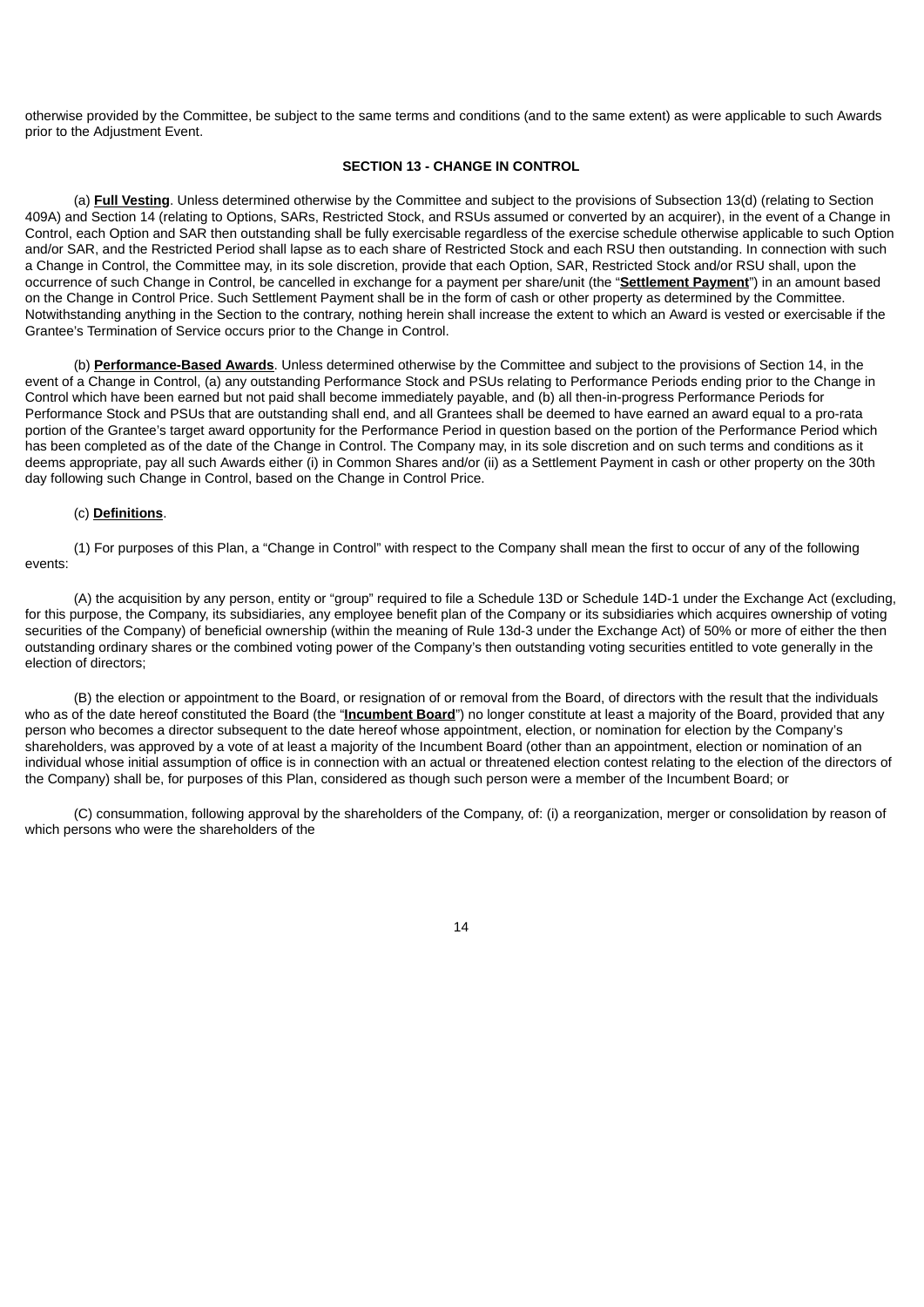otherwise provided by the Committee, be subject to the same terms and conditions (and to the same extent) as were applicable to such Awards prior to the Adjustment Event.

#### **SECTION 13 - CHANGE IN CONTROL**

(a) **Full Vesting**. Unless determined otherwise by the Committee and subject to the provisions of Subsection 13(d) (relating to Section 409A) and Section 14 (relating to Options, SARs, Restricted Stock, and RSUs assumed or converted by an acquirer), in the event of a Change in Control, each Option and SAR then outstanding shall be fully exercisable regardless of the exercise schedule otherwise applicable to such Option and/or SAR, and the Restricted Period shall lapse as to each share of Restricted Stock and each RSU then outstanding. In connection with such a Change in Control, the Committee may, in its sole discretion, provide that each Option, SAR, Restricted Stock and/or RSU shall, upon the occurrence of such Change in Control, be cancelled in exchange for a payment per share/unit (the "**Settlement Payment**") in an amount based on the Change in Control Price. Such Settlement Payment shall be in the form of cash or other property as determined by the Committee. Notwithstanding anything in the Section to the contrary, nothing herein shall increase the extent to which an Award is vested or exercisable if the Grantee's Termination of Service occurs prior to the Change in Control.

(b) **Performance-Based Awards**. Unless determined otherwise by the Committee and subject to the provisions of Section 14, in the event of a Change in Control, (a) any outstanding Performance Stock and PSUs relating to Performance Periods ending prior to the Change in Control which have been earned but not paid shall become immediately payable, and (b) all then-in-progress Performance Periods for Performance Stock and PSUs that are outstanding shall end, and all Grantees shall be deemed to have earned an award equal to a pro-rata portion of the Grantee's target award opportunity for the Performance Period in question based on the portion of the Performance Period which has been completed as of the date of the Change in Control. The Company may, in its sole discretion and on such terms and conditions as it deems appropriate, pay all such Awards either (i) in Common Shares and/or (ii) as a Settlement Payment in cash or other property on the 30th day following such Change in Control, based on the Change in Control Price.

#### (c) **Definitions**.

(1) For purposes of this Plan, a "Change in Control" with respect to the Company shall mean the first to occur of any of the following events:

(A) the acquisition by any person, entity or "group" required to file a Schedule 13D or Schedule 14D-1 under the Exchange Act (excluding, for this purpose, the Company, its subsidiaries, any employee benefit plan of the Company or its subsidiaries which acquires ownership of voting securities of the Company) of beneficial ownership (within the meaning of Rule 13d-3 under the Exchange Act) of 50% or more of either the then outstanding ordinary shares or the combined voting power of the Company's then outstanding voting securities entitled to vote generally in the election of directors;

(B) the election or appointment to the Board, or resignation of or removal from the Board, of directors with the result that the individuals who as of the date hereof constituted the Board (the "**Incumbent Board**") no longer constitute at least a majority of the Board, provided that any person who becomes a director subsequent to the date hereof whose appointment, election, or nomination for election by the Company's shareholders, was approved by a vote of at least a majority of the Incumbent Board (other than an appointment, election or nomination of an individual whose initial assumption of office is in connection with an actual or threatened election contest relating to the election of the directors of the Company) shall be, for purposes of this Plan, considered as though such person were a member of the Incumbent Board; or

(C) consummation, following approval by the shareholders of the Company, of: (i) a reorganization, merger or consolidation by reason of which persons who were the shareholders of the

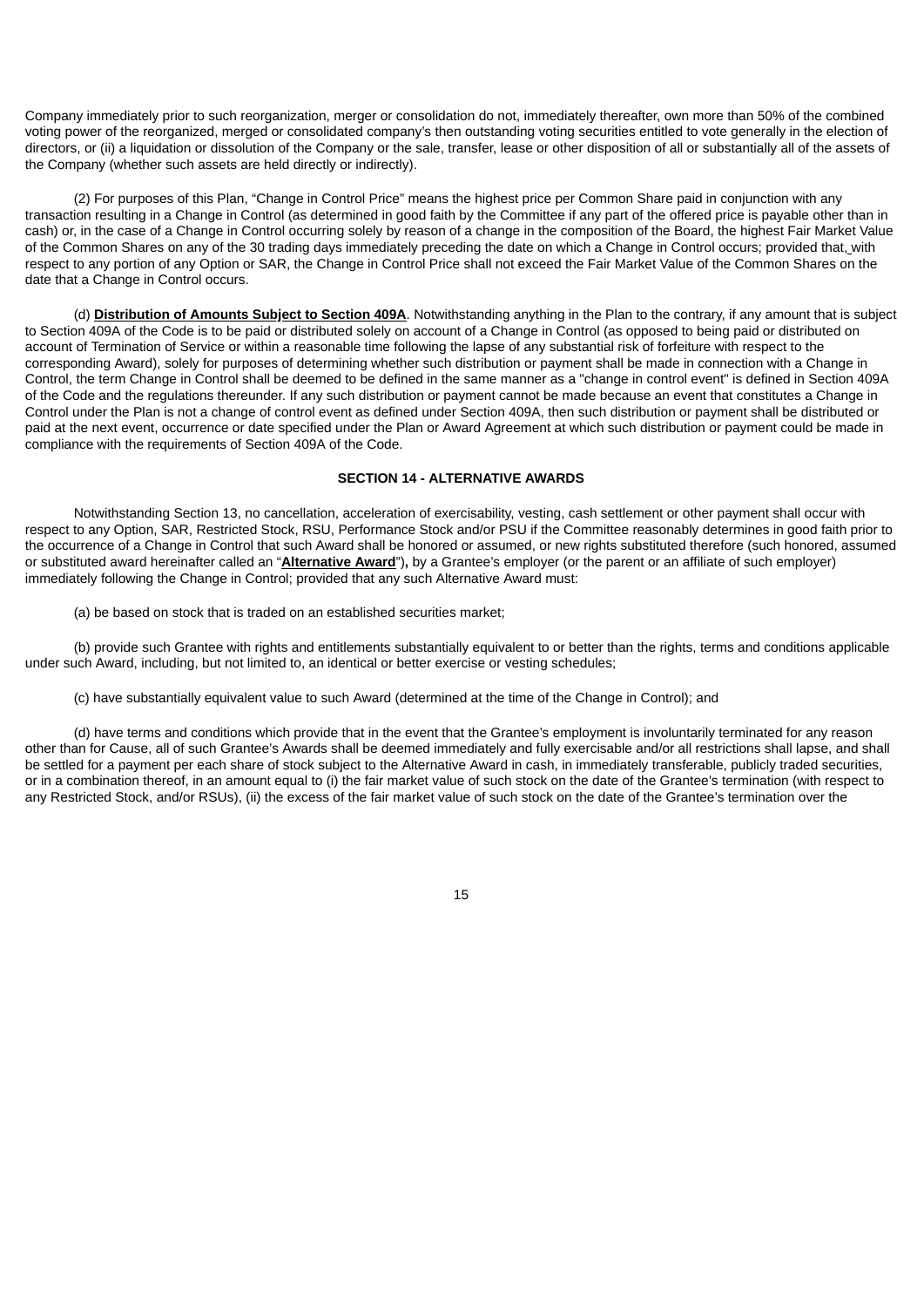Company immediately prior to such reorganization, merger or consolidation do not, immediately thereafter, own more than 50% of the combined voting power of the reorganized, merged or consolidated company's then outstanding voting securities entitled to vote generally in the election of directors, or (ii) a liquidation or dissolution of the Company or the sale, transfer, lease or other disposition of all or substantially all of the assets of the Company (whether such assets are held directly or indirectly).

(2) For purposes of this Plan, "Change in Control Price" means the highest price per Common Share paid in conjunction with any transaction resulting in a Change in Control (as determined in good faith by the Committee if any part of the offered price is payable other than in cash) or, in the case of a Change in Control occurring solely by reason of a change in the composition of the Board, the highest Fair Market Value of the Common Shares on any of the 30 trading days immediately preceding the date on which a Change in Control occurs; provided that, with respect to any portion of any Option or SAR, the Change in Control Price shall not exceed the Fair Market Value of the Common Shares on the date that a Change in Control occurs.

(d) **Distribution of Amounts Subject to Section 409A**. Notwithstanding anything in the Plan to the contrary, if any amount that is subject to Section 409A of the Code is to be paid or distributed solely on account of a Change in Control (as opposed to being paid or distributed on account of Termination of Service or within a reasonable time following the lapse of any substantial risk of forfeiture with respect to the corresponding Award), solely for purposes of determining whether such distribution or payment shall be made in connection with a Change in Control, the term Change in Control shall be deemed to be defined in the same manner as a "change in control event" is defined in Section 409A of the Code and the regulations thereunder. If any such distribution or payment cannot be made because an event that constitutes a Change in Control under the Plan is not a change of control event as defined under Section 409A, then such distribution or payment shall be distributed or paid at the next event, occurrence or date specified under the Plan or Award Agreement at which such distribution or payment could be made in compliance with the requirements of Section 409A of the Code.

#### **SECTION 14 - ALTERNATIVE AWARDS**

Notwithstanding Section 13, no cancellation, acceleration of exercisability, vesting, cash settlement or other payment shall occur with respect to any Option, SAR, Restricted Stock, RSU, Performance Stock and/or PSU if the Committee reasonably determines in good faith prior to the occurrence of a Change in Control that such Award shall be honored or assumed, or new rights substituted therefore (such honored, assumed or substituted award hereinafter called an "**Alternative Award**")**,** by a Grantee's employer (or the parent or an affiliate of such employer) immediately following the Change in Control; provided that any such Alternative Award must:

(a) be based on stock that is traded on an established securities market;

(b) provide such Grantee with rights and entitlements substantially equivalent to or better than the rights, terms and conditions applicable under such Award, including, but not limited to, an identical or better exercise or vesting schedules;

(c) have substantially equivalent value to such Award (determined at the time of the Change in Control); and

(d) have terms and conditions which provide that in the event that the Grantee's employment is involuntarily terminated for any reason other than for Cause, all of such Grantee's Awards shall be deemed immediately and fully exercisable and/or all restrictions shall lapse, and shall be settled for a payment per each share of stock subject to the Alternative Award in cash, in immediately transferable, publicly traded securities, or in a combination thereof, in an amount equal to (i) the fair market value of such stock on the date of the Grantee's termination (with respect to any Restricted Stock, and/or RSUs), (ii) the excess of the fair market value of such stock on the date of the Grantee's termination over the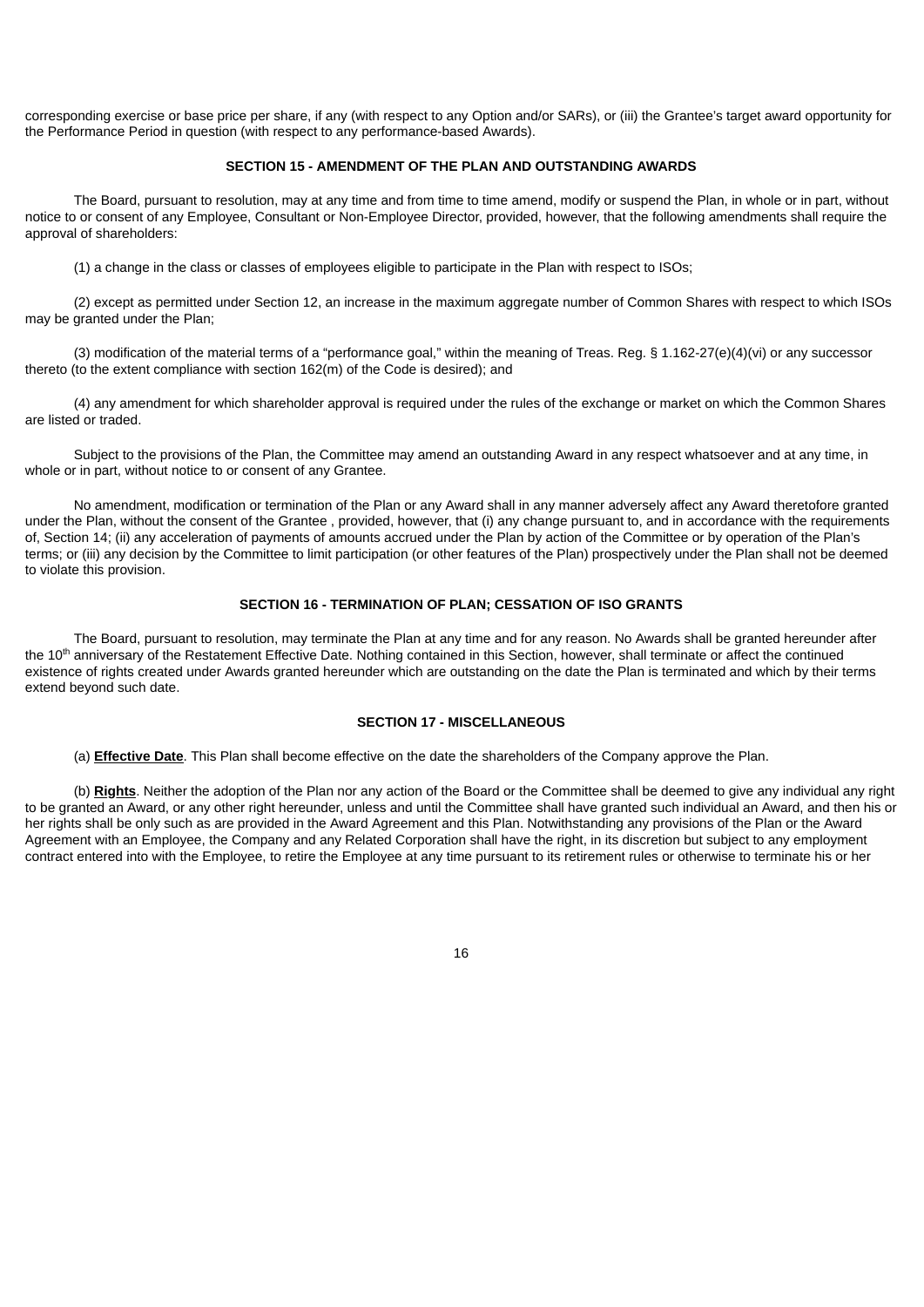corresponding exercise or base price per share, if any (with respect to any Option and/or SARs), or (iii) the Grantee's target award opportunity for the Performance Period in question (with respect to any performance-based Awards).

## **SECTION 15 - AMENDMENT OF THE PLAN AND OUTSTANDING AWARDS**

The Board, pursuant to resolution, may at any time and from time to time amend, modify or suspend the Plan, in whole or in part, without notice to or consent of any Employee, Consultant or Non-Employee Director, provided, however, that the following amendments shall require the approval of shareholders:

(1) a change in the class or classes of employees eligible to participate in the Plan with respect to ISOs;

(2) except as permitted under Section 12, an increase in the maximum aggregate number of Common Shares with respect to which ISOs may be granted under the Plan;

(3) modification of the material terms of a "performance goal," within the meaning of Treas. Reg. § 1.162-27(e)(4)(vi) or any successor thereto (to the extent compliance with section 162(m) of the Code is desired); and

(4) any amendment for which shareholder approval is required under the rules of the exchange or market on which the Common Shares are listed or traded.

Subject to the provisions of the Plan, the Committee may amend an outstanding Award in any respect whatsoever and at any time, in whole or in part, without notice to or consent of any Grantee.

No amendment, modification or termination of the Plan or any Award shall in any manner adversely affect any Award theretofore granted under the Plan, without the consent of the Grantee , provided, however, that (i) any change pursuant to, and in accordance with the requirements of, Section 14; (ii) any acceleration of payments of amounts accrued under the Plan by action of the Committee or by operation of the Plan's terms; or (iii) any decision by the Committee to limit participation (or other features of the Plan) prospectively under the Plan shall not be deemed to violate this provision.

#### **SECTION 16 - TERMINATION OF PLAN; CESSATION OF ISO GRANTS**

The Board, pursuant to resolution, may terminate the Plan at any time and for any reason. No Awards shall be granted hereunder after the 10<sup>th</sup> anniversary of the Restatement Effective Date. Nothing contained in this Section, however, shall terminate or affect the continued existence of rights created under Awards granted hereunder which are outstanding on the date the Plan is terminated and which by their terms extend beyond such date.

#### **SECTION 17 - MISCELLANEOUS**

(a) **Effective Date**. This Plan shall become effective on the date the shareholders of the Company approve the Plan.

(b) **Rights**. Neither the adoption of the Plan nor any action of the Board or the Committee shall be deemed to give any individual any right to be granted an Award, or any other right hereunder, unless and until the Committee shall have granted such individual an Award, and then his or her rights shall be only such as are provided in the Award Agreement and this Plan. Notwithstanding any provisions of the Plan or the Award Agreement with an Employee, the Company and any Related Corporation shall have the right, in its discretion but subject to any employment contract entered into with the Employee, to retire the Employee at any time pursuant to its retirement rules or otherwise to terminate his or her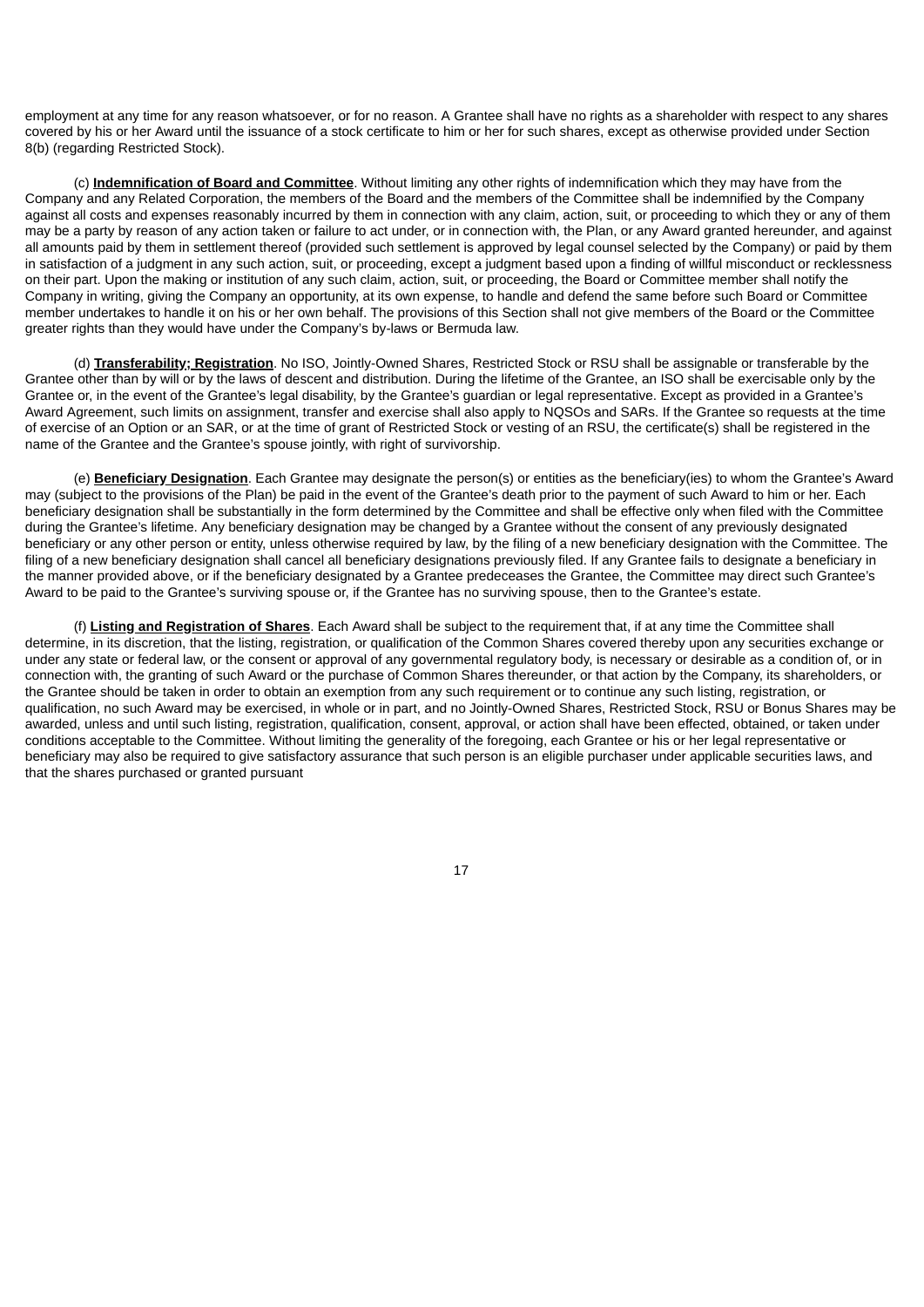employment at any time for any reason whatsoever, or for no reason. A Grantee shall have no rights as a shareholder with respect to any shares covered by his or her Award until the issuance of a stock certificate to him or her for such shares, except as otherwise provided under Section 8(b) (regarding Restricted Stock).

(c) **Indemnification of Board and Committee**. Without limiting any other rights of indemnification which they may have from the Company and any Related Corporation, the members of the Board and the members of the Committee shall be indemnified by the Company against all costs and expenses reasonably incurred by them in connection with any claim, action, suit, or proceeding to which they or any of them may be a party by reason of any action taken or failure to act under, or in connection with, the Plan, or any Award granted hereunder, and against all amounts paid by them in settlement thereof (provided such settlement is approved by legal counsel selected by the Company) or paid by them in satisfaction of a judgment in any such action, suit, or proceeding, except a judgment based upon a finding of willful misconduct or recklessness on their part. Upon the making or institution of any such claim, action, suit, or proceeding, the Board or Committee member shall notify the Company in writing, giving the Company an opportunity, at its own expense, to handle and defend the same before such Board or Committee member undertakes to handle it on his or her own behalf. The provisions of this Section shall not give members of the Board or the Committee greater rights than they would have under the Company's by-laws or Bermuda law.

(d) **Transferability; Registration**. No ISO, Jointly-Owned Shares, Restricted Stock or RSU shall be assignable or transferable by the Grantee other than by will or by the laws of descent and distribution. During the lifetime of the Grantee, an ISO shall be exercisable only by the Grantee or, in the event of the Grantee's legal disability, by the Grantee's guardian or legal representative. Except as provided in a Grantee's Award Agreement, such limits on assignment, transfer and exercise shall also apply to NQSOs and SARs. If the Grantee so requests at the time of exercise of an Option or an SAR, or at the time of grant of Restricted Stock or vesting of an RSU, the certificate(s) shall be registered in the name of the Grantee and the Grantee's spouse jointly, with right of survivorship.

(e) **Beneficiary Designation**. Each Grantee may designate the person(s) or entities as the beneficiary(ies) to whom the Grantee's Award may (subject to the provisions of the Plan) be paid in the event of the Grantee's death prior to the payment of such Award to him or her. Each beneficiary designation shall be substantially in the form determined by the Committee and shall be effective only when filed with the Committee during the Grantee's lifetime. Any beneficiary designation may be changed by a Grantee without the consent of any previously designated beneficiary or any other person or entity, unless otherwise required by law, by the filing of a new beneficiary designation with the Committee. The filing of a new beneficiary designation shall cancel all beneficiary designations previously filed. If any Grantee fails to designate a beneficiary in the manner provided above, or if the beneficiary designated by a Grantee predeceases the Grantee, the Committee may direct such Grantee's Award to be paid to the Grantee's surviving spouse or, if the Grantee has no surviving spouse, then to the Grantee's estate.

(f) **Listing and Registration of Shares**. Each Award shall be subject to the requirement that, if at any time the Committee shall determine, in its discretion, that the listing, registration, or qualification of the Common Shares covered thereby upon any securities exchange or under any state or federal law, or the consent or approval of any governmental regulatory body, is necessary or desirable as a condition of, or in connection with, the granting of such Award or the purchase of Common Shares thereunder, or that action by the Company, its shareholders, or the Grantee should be taken in order to obtain an exemption from any such requirement or to continue any such listing, registration, or qualification, no such Award may be exercised, in whole or in part, and no Jointly-Owned Shares, Restricted Stock, RSU or Bonus Shares may be awarded, unless and until such listing, registration, qualification, consent, approval, or action shall have been effected, obtained, or taken under conditions acceptable to the Committee. Without limiting the generality of the foregoing, each Grantee or his or her legal representative or beneficiary may also be required to give satisfactory assurance that such person is an eligible purchaser under applicable securities laws, and that the shares purchased or granted pursuant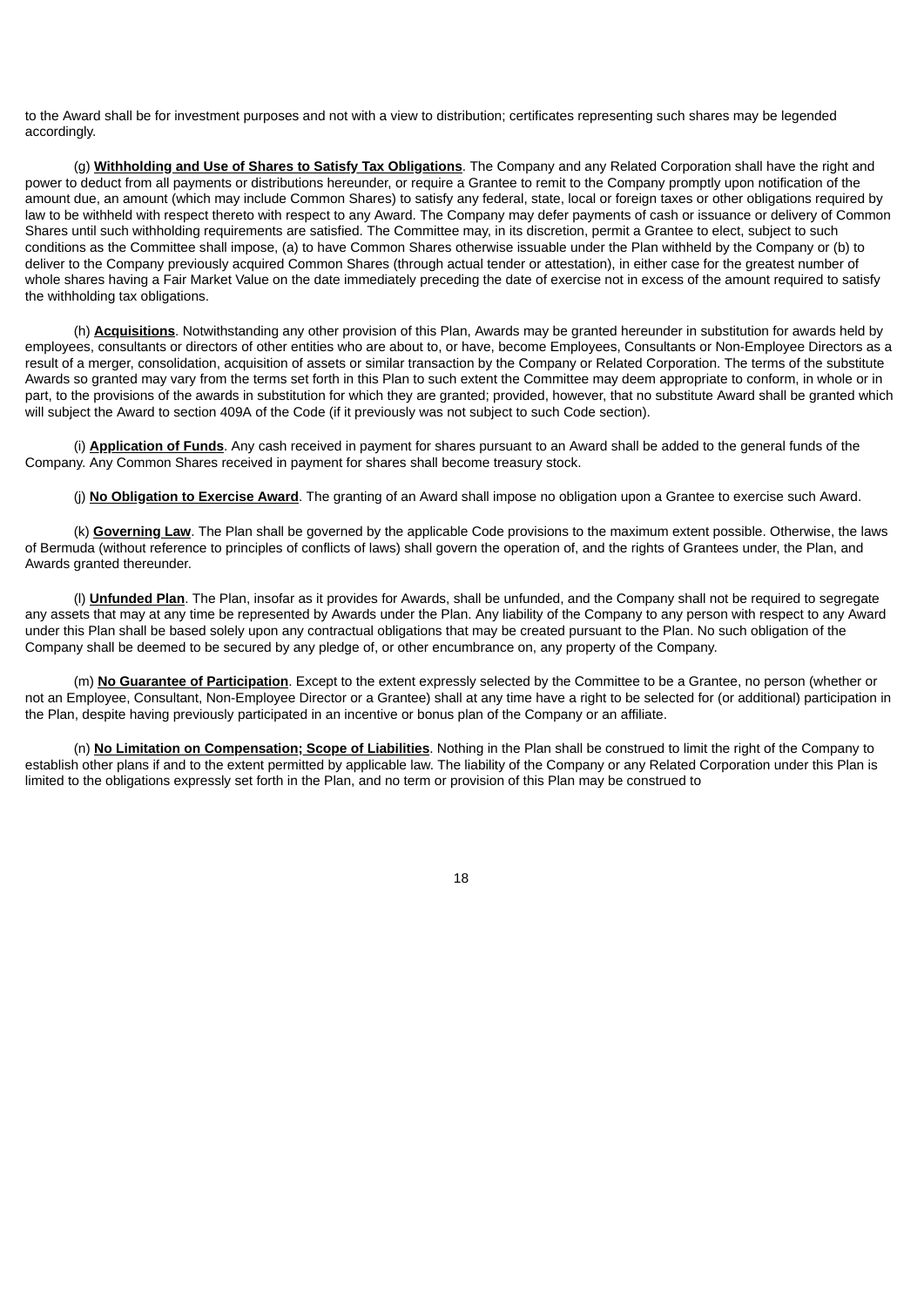to the Award shall be for investment purposes and not with a view to distribution; certificates representing such shares may be legended accordingly.

(g) **Withholding and Use of Shares to Satisfy Tax Obligations**. The Company and any Related Corporation shall have the right and power to deduct from all payments or distributions hereunder, or require a Grantee to remit to the Company promptly upon notification of the amount due, an amount (which may include Common Shares) to satisfy any federal, state, local or foreign taxes or other obligations required by law to be withheld with respect thereto with respect to any Award. The Company may defer payments of cash or issuance or delivery of Common Shares until such withholding requirements are satisfied. The Committee may, in its discretion, permit a Grantee to elect, subject to such conditions as the Committee shall impose, (a) to have Common Shares otherwise issuable under the Plan withheld by the Company or (b) to deliver to the Company previously acquired Common Shares (through actual tender or attestation), in either case for the greatest number of whole shares having a Fair Market Value on the date immediately preceding the date of exercise not in excess of the amount required to satisfy the withholding tax obligations.

(h) **Acquisitions**. Notwithstanding any other provision of this Plan, Awards may be granted hereunder in substitution for awards held by employees, consultants or directors of other entities who are about to, or have, become Employees, Consultants or Non-Employee Directors as a result of a merger, consolidation, acquisition of assets or similar transaction by the Company or Related Corporation. The terms of the substitute Awards so granted may vary from the terms set forth in this Plan to such extent the Committee may deem appropriate to conform, in whole or in part, to the provisions of the awards in substitution for which they are granted; provided, however, that no substitute Award shall be granted which will subject the Award to section 409A of the Code (if it previously was not subject to such Code section).

(i) **Application of Funds**. Any cash received in payment for shares pursuant to an Award shall be added to the general funds of the Company. Any Common Shares received in payment for shares shall become treasury stock.

(j) **No Obligation to Exercise Award**. The granting of an Award shall impose no obligation upon a Grantee to exercise such Award.

(k) **Governing Law**. The Plan shall be governed by the applicable Code provisions to the maximum extent possible. Otherwise, the laws of Bermuda (without reference to principles of conflicts of laws) shall govern the operation of, and the rights of Grantees under, the Plan, and Awards granted thereunder.

(l) **Unfunded Plan**. The Plan, insofar as it provides for Awards, shall be unfunded, and the Company shall not be required to segregate any assets that may at any time be represented by Awards under the Plan. Any liability of the Company to any person with respect to any Award under this Plan shall be based solely upon any contractual obligations that may be created pursuant to the Plan. No such obligation of the Company shall be deemed to be secured by any pledge of, or other encumbrance on, any property of the Company.

(m) **No Guarantee of Participation**. Except to the extent expressly selected by the Committee to be a Grantee, no person (whether or not an Employee, Consultant, Non-Employee Director or a Grantee) shall at any time have a right to be selected for (or additional) participation in the Plan, despite having previously participated in an incentive or bonus plan of the Company or an affiliate.

(n) **No Limitation on Compensation; Scope of Liabilities**. Nothing in the Plan shall be construed to limit the right of the Company to establish other plans if and to the extent permitted by applicable law. The liability of the Company or any Related Corporation under this Plan is limited to the obligations expressly set forth in the Plan, and no term or provision of this Plan may be construed to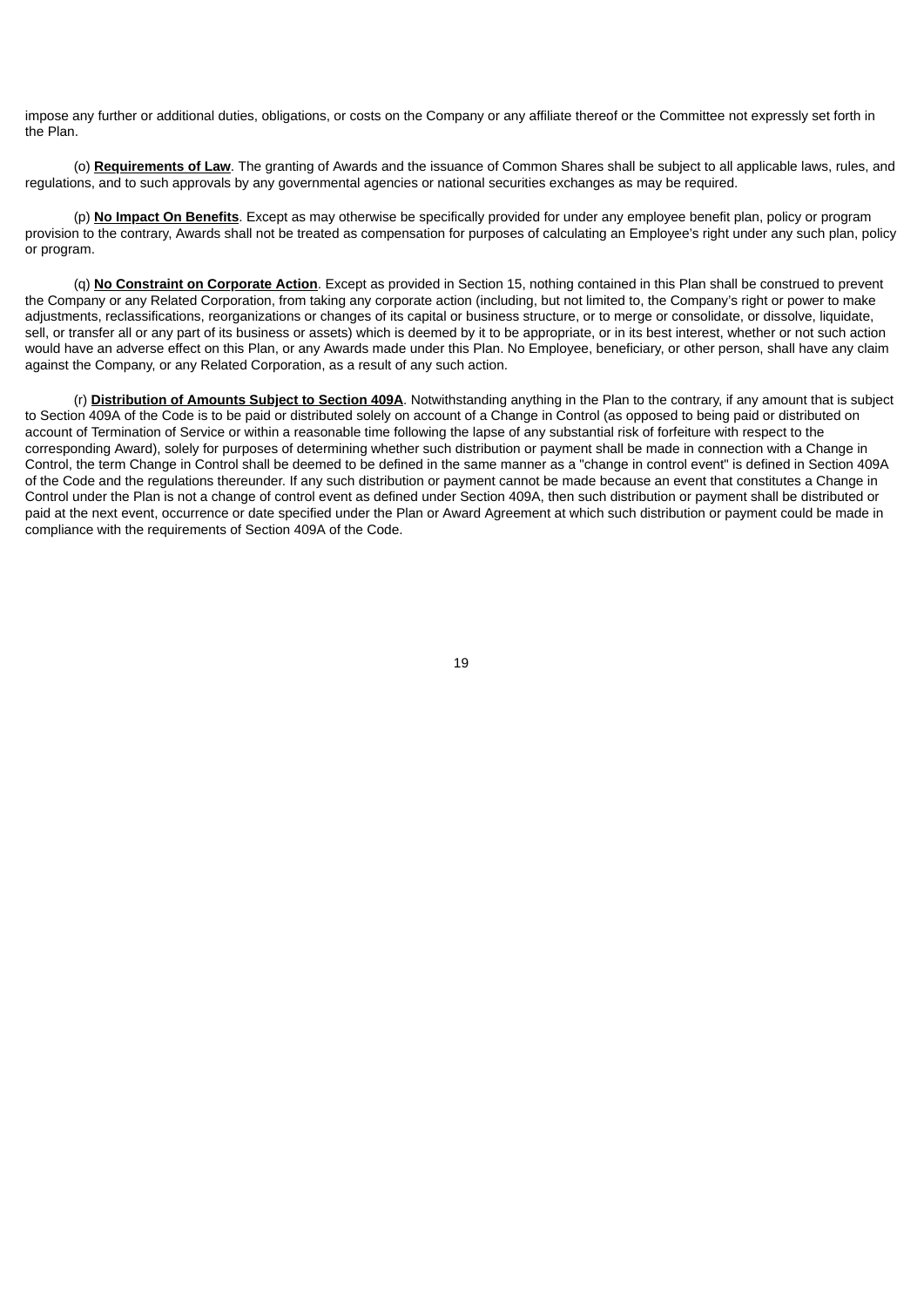impose any further or additional duties, obligations, or costs on the Company or any affiliate thereof or the Committee not expressly set forth in the Plan.

(o) **Requirements of Law**. The granting of Awards and the issuance of Common Shares shall be subject to all applicable laws, rules, and regulations, and to such approvals by any governmental agencies or national securities exchanges as may be required.

(p) **No Impact On Benefits**. Except as may otherwise be specifically provided for under any employee benefit plan, policy or program provision to the contrary, Awards shall not be treated as compensation for purposes of calculating an Employee's right under any such plan, policy or program.

(q) **No Constraint on Corporate Action**. Except as provided in Section 15, nothing contained in this Plan shall be construed to prevent the Company or any Related Corporation, from taking any corporate action (including, but not limited to, the Company's right or power to make adjustments, reclassifications, reorganizations or changes of its capital or business structure, or to merge or consolidate, or dissolve, liquidate, sell, or transfer all or any part of its business or assets) which is deemed by it to be appropriate, or in its best interest, whether or not such action would have an adverse effect on this Plan, or any Awards made under this Plan. No Employee, beneficiary, or other person, shall have any claim against the Company, or any Related Corporation, as a result of any such action.

(r) **Distribution of Amounts Subject to Section 409A**. Notwithstanding anything in the Plan to the contrary, if any amount that is subject to Section 409A of the Code is to be paid or distributed solely on account of a Change in Control (as opposed to being paid or distributed on account of Termination of Service or within a reasonable time following the lapse of any substantial risk of forfeiture with respect to the corresponding Award), solely for purposes of determining whether such distribution or payment shall be made in connection with a Change in Control, the term Change in Control shall be deemed to be defined in the same manner as a "change in control event" is defined in Section 409A of the Code and the regulations thereunder. If any such distribution or payment cannot be made because an event that constitutes a Change in Control under the Plan is not a change of control event as defined under Section 409A, then such distribution or payment shall be distributed or paid at the next event, occurrence or date specified under the Plan or Award Agreement at which such distribution or payment could be made in compliance with the requirements of Section 409A of the Code.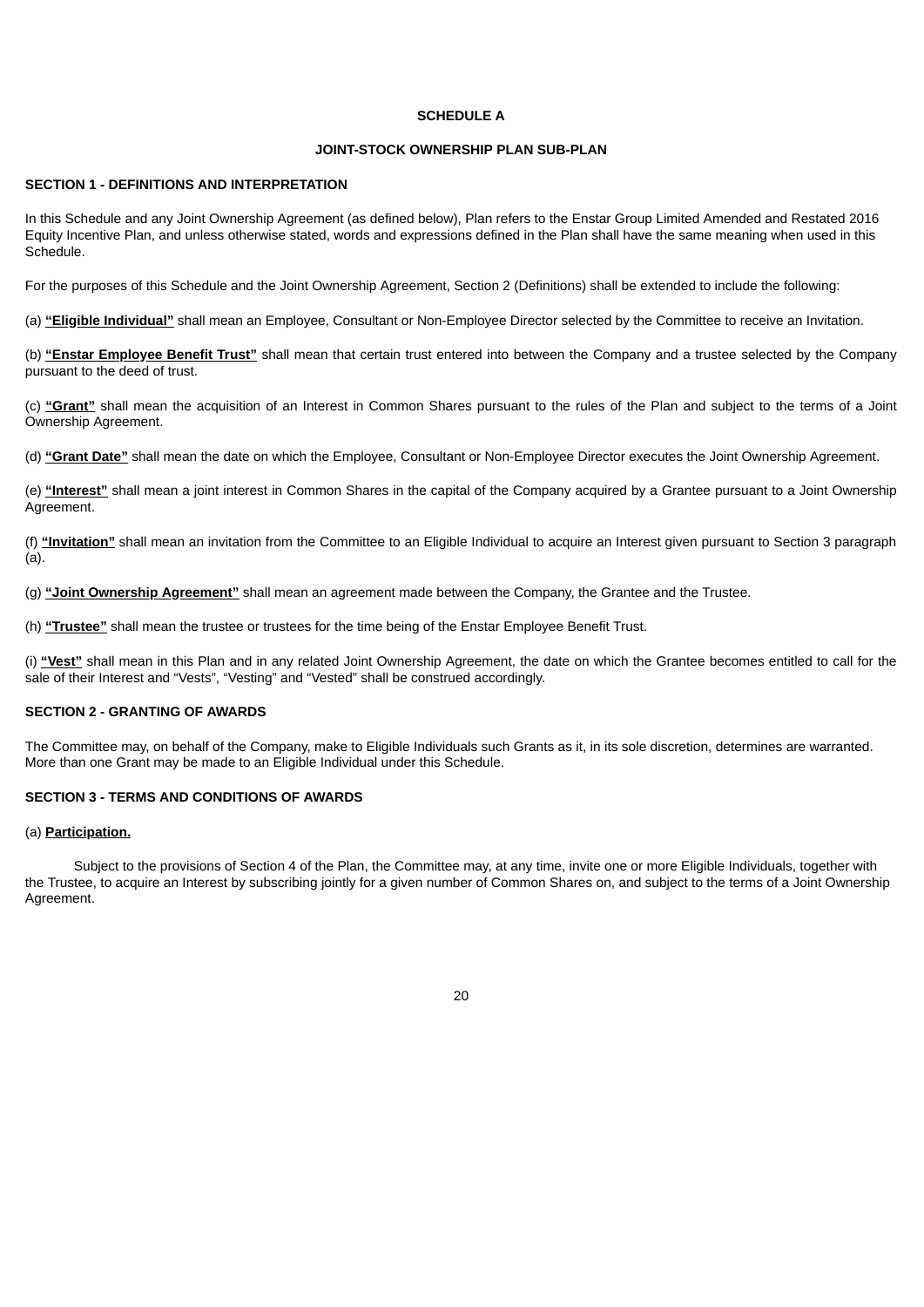## **SCHEDULE A**

## **JOINT-STOCK OWNERSHIP PLAN SUB-PLAN**

## **SECTION 1 - DEFINITIONS AND INTERPRETATION**

In this Schedule and any Joint Ownership Agreement (as defined below), Plan refers to the Enstar Group Limited Amended and Restated 2016 Equity Incentive Plan, and unless otherwise stated, words and expressions defined in the Plan shall have the same meaning when used in this Schedule.

For the purposes of this Schedule and the Joint Ownership Agreement, Section 2 (Definitions) shall be extended to include the following:

(a) **"Eligible Individual"** shall mean an Employee, Consultant or Non-Employee Director selected by the Committee to receive an Invitation.

(b) **"Enstar Employee Benefit Trust"** shall mean that certain trust entered into between the Company and a trustee selected by the Company pursuant to the deed of trust.

(c) **"Grant"** shall mean the acquisition of an Interest in Common Shares pursuant to the rules of the Plan and subject to the terms of a Joint Ownership Agreement.

(d) **"Grant Date"** shall mean the date on which the Employee, Consultant or Non-Employee Director executes the Joint Ownership Agreement.

(e) **"Interest"** shall mean a joint interest in Common Shares in the capital of the Company acquired by a Grantee pursuant to a Joint Ownership Agreement.

(f) **"Invitation"** shall mean an invitation from the Committee to an Eligible Individual to acquire an Interest given pursuant to Section 3 paragraph (a).

(g) **"Joint Ownership Agreement"** shall mean an agreement made between the Company, the Grantee and the Trustee.

(h) **"Trustee"** shall mean the trustee or trustees for the time being of the Enstar Employee Benefit Trust.

(i) **"Vest"** shall mean in this Plan and in any related Joint Ownership Agreement, the date on which the Grantee becomes entitled to call for the sale of their Interest and "Vests", "Vesting" and "Vested" shall be construed accordingly.

## **SECTION 2 - GRANTING OF AWARDS**

The Committee may, on behalf of the Company, make to Eligible Individuals such Grants as it, in its sole discretion, determines are warranted. More than one Grant may be made to an Eligible Individual under this Schedule.

#### **SECTION 3 - TERMS AND CONDITIONS OF AWARDS**

#### (a) **Participation.**

Subject to the provisions of Section 4 of the Plan, the Committee may, at any time, invite one or more Eligible Individuals, together with the Trustee, to acquire an Interest by subscribing jointly for a given number of Common Shares on, and subject to the terms of a Joint Ownership Agreement.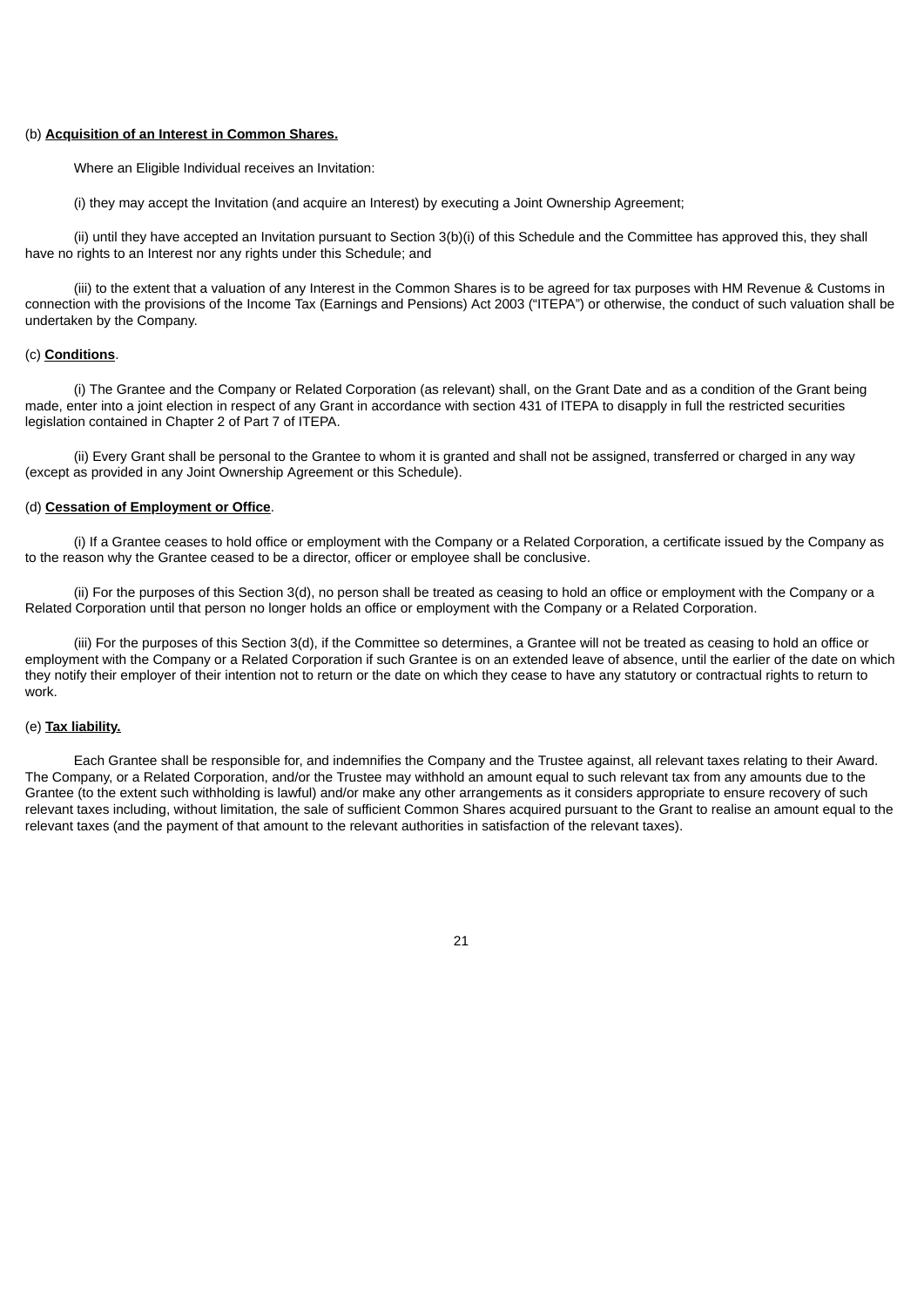#### (b) **Acquisition of an Interest in Common Shares.**

Where an Eligible Individual receives an Invitation:

(i) they may accept the Invitation (and acquire an Interest) by executing a Joint Ownership Agreement;

(ii) until they have accepted an Invitation pursuant to Section 3(b)(i) of this Schedule and the Committee has approved this, they shall have no rights to an Interest nor any rights under this Schedule; and

(iii) to the extent that a valuation of any Interest in the Common Shares is to be agreed for tax purposes with HM Revenue & Customs in connection with the provisions of the Income Tax (Earnings and Pensions) Act 2003 ("ITEPA") or otherwise, the conduct of such valuation shall be undertaken by the Company.

#### (c) **Conditions**.

(i) The Grantee and the Company or Related Corporation (as relevant) shall, on the Grant Date and as a condition of the Grant being made, enter into a joint election in respect of any Grant in accordance with section 431 of ITEPA to disapply in full the restricted securities legislation contained in Chapter 2 of Part 7 of ITEPA.

(ii) Every Grant shall be personal to the Grantee to whom it is granted and shall not be assigned, transferred or charged in any way (except as provided in any Joint Ownership Agreement or this Schedule).

## (d) **Cessation of Employment or Office**.

(i) If a Grantee ceases to hold office or employment with the Company or a Related Corporation, a certificate issued by the Company as to the reason why the Grantee ceased to be a director, officer or employee shall be conclusive.

(ii) For the purposes of this Section 3(d), no person shall be treated as ceasing to hold an office or employment with the Company or a Related Corporation until that person no longer holds an office or employment with the Company or a Related Corporation.

(iii) For the purposes of this Section 3(d), if the Committee so determines, a Grantee will not be treated as ceasing to hold an office or employment with the Company or a Related Corporation if such Grantee is on an extended leave of absence, until the earlier of the date on which they notify their employer of their intention not to return or the date on which they cease to have any statutory or contractual rights to return to work.

#### (e) **Tax liability.**

Each Grantee shall be responsible for, and indemnifies the Company and the Trustee against, all relevant taxes relating to their Award. The Company, or a Related Corporation, and/or the Trustee may withhold an amount equal to such relevant tax from any amounts due to the Grantee (to the extent such withholding is lawful) and/or make any other arrangements as it considers appropriate to ensure recovery of such relevant taxes including, without limitation, the sale of sufficient Common Shares acquired pursuant to the Grant to realise an amount equal to the relevant taxes (and the payment of that amount to the relevant authorities in satisfaction of the relevant taxes).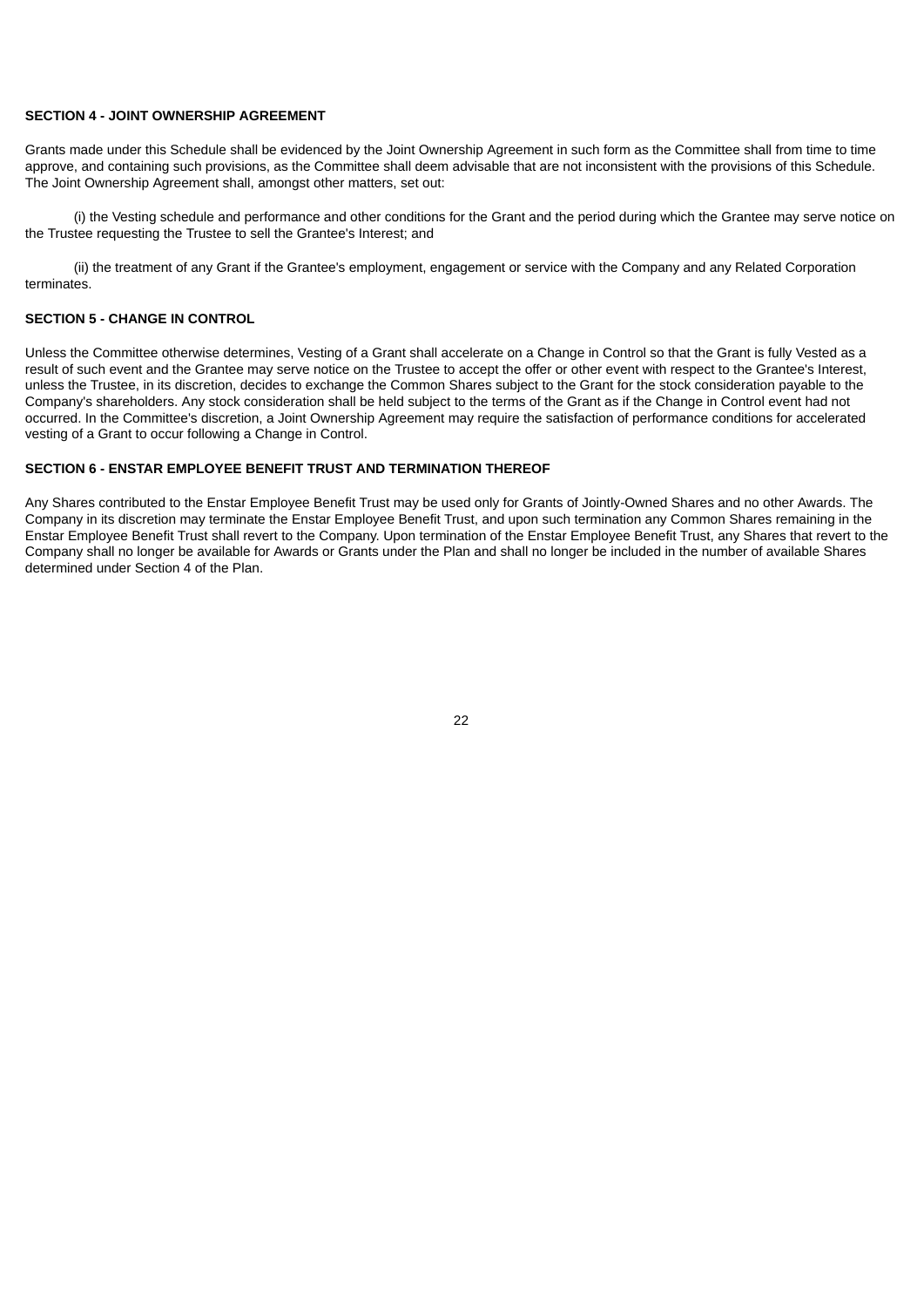## **SECTION 4 - JOINT OWNERSHIP AGREEMENT**

Grants made under this Schedule shall be evidenced by the Joint Ownership Agreement in such form as the Committee shall from time to time approve, and containing such provisions, as the Committee shall deem advisable that are not inconsistent with the provisions of this Schedule. The Joint Ownership Agreement shall, amongst other matters, set out:

(i) the Vesting schedule and performance and other conditions for the Grant and the period during which the Grantee may serve notice on the Trustee requesting the Trustee to sell the Grantee's Interest; and

(ii) the treatment of any Grant if the Grantee's employment, engagement or service with the Company and any Related Corporation terminates.

#### **SECTION 5 - CHANGE IN CONTROL**

Unless the Committee otherwise determines, Vesting of a Grant shall accelerate on a Change in Control so that the Grant is fully Vested as a result of such event and the Grantee may serve notice on the Trustee to accept the offer or other event with respect to the Grantee's Interest, unless the Trustee, in its discretion, decides to exchange the Common Shares subject to the Grant for the stock consideration payable to the Company's shareholders. Any stock consideration shall be held subject to the terms of the Grant as if the Change in Control event had not occurred. In the Committee's discretion, a Joint Ownership Agreement may require the satisfaction of performance conditions for accelerated vesting of a Grant to occur following a Change in Control.

## **SECTION 6 - ENSTAR EMPLOYEE BENEFIT TRUST AND TERMINATION THEREOF**

Any Shares contributed to the Enstar Employee Benefit Trust may be used only for Grants of Jointly-Owned Shares and no other Awards. The Company in its discretion may terminate the Enstar Employee Benefit Trust, and upon such termination any Common Shares remaining in the Enstar Employee Benefit Trust shall revert to the Company. Upon termination of the Enstar Employee Benefit Trust, any Shares that revert to the Company shall no longer be available for Awards or Grants under the Plan and shall no longer be included in the number of available Shares determined under Section 4 of the Plan.